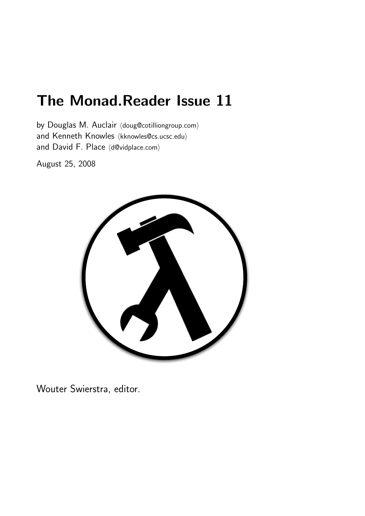# The Monad.Reader Issue 11

by Douglas M. Auclair  $\langle \text{doug@cotillion} \rangle$ and Kenneth Knowles  $\langle$ kknowles@cs.ucsc.edu $\rangle$ and David F. Place  $\langle$ d@vidplace.com $\rangle$ 

August 25, 2008



Wouter Swierstra, editor.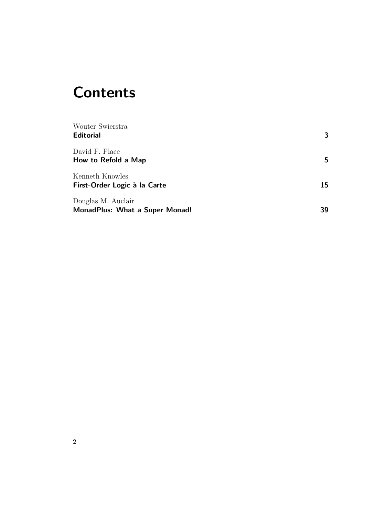# **Contents**

| Wouter Swierstra<br><b>Editorial</b>                        | 3  |
|-------------------------------------------------------------|----|
| David F. Place<br>How to Refold a Map                       | 5  |
| Kenneth Knowles<br>First-Order Logic à la Carte             | 15 |
| Douglas M. Auclair<br><b>MonadPlus: What a Super Monad!</b> | 39 |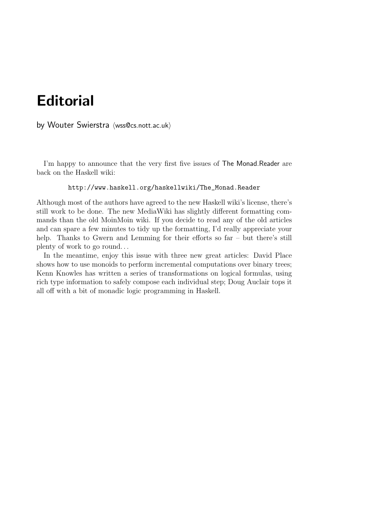# **Editorial**

by Wouter Swierstra (wss@cs.nott.ac.uk)

<span id="page-2-0"></span>I'm happy to announce that the very first five issues of The Monad.Reader are back on the Haskell wiki:

[http://www.haskell.org/haskellwiki/The\\_Monad.Reader](http://www.haskell.org/haskellwiki/The_Monad.Reader)

Although most of the authors have agreed to the new Haskell wiki's license, there's still work to be done. The new MediaWiki has slightly different formatting commands than the old MoinMoin wiki. If you decide to read any of the old articles and can spare a few minutes to tidy up the formatting, I'd really appreciate your help. Thanks to Gwern and Lemming for their efforts so far – but there's still plenty of work to go round. . .

In the meantime, enjoy this issue with three new great articles: David Place shows how to use monoids to perform incremental computations over binary trees; Kenn Knowles has written a series of transformations on logical formulas, using rich type information to safely compose each individual step; Doug Auclair tops it all off with a bit of monadic logic programming in Haskell.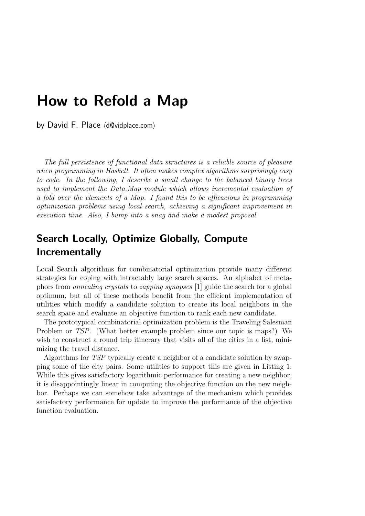# How to Refold a Map

by David F. Place  $\langle d\Phi$ vidplace.com)

<span id="page-4-0"></span>The full persistence of functional data structures is a reliable source of pleasure when programming in Haskell. It often makes complex algorithms surprisingly easy to code. In the following, I describe a small change to the balanced binary trees used to implement the Data.Map module which allows incremental evaluation of a fold over the elements of a Map. I found this to be efficacious in programming optimization problems using local search, achieving a significant improvement in execution time. Also, I bump into a snag and make a modest proposal.

# Search Locally, Optimize Globally, Compute Incrementally

Local Search algorithms for combinatorial optimization provide many different strategies for coping with intractably large search spaces. An alphabet of metaphors from annealing crystals to zapping synapses [\[1\]](#page-12-0) guide the search for a global optimum, but all of these methods benefit from the efficient implementation of utilities which modify a candidate solution to create its local neighbors in the search space and evaluate an objective function to rank each new candidate.

The prototypical combinatorial optimization problem is the Traveling Salesman Problem or TSP. (What better example problem since our topic is maps?) We wish to construct a round trip itinerary that visits all of the cities in a list, minimizing the travel distance.

Algorithms for TSP typically create a neighbor of a candidate solution by swapping some of the city pairs. Some utilities to support this are given in Listing [1.](#page-5-0) While this gives satisfactory logarithmic performance for creating a new neighbor, it is disappointingly linear in computing the objective function on the new neighbor. Perhaps we can somehow take advantage of the mechanism which provides satisfactory performance for update to improve the performance of the objective function evaluation.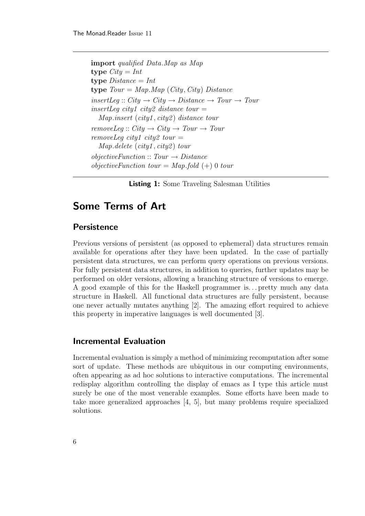```
import qualified Data.Map as Map
type City = Inttype Distance = Inttype Tour = Map.Map (City, City) Distance
insertLeg :: City \rightarrow City \rightarrow Distance \rightarrow Tour \rightarrow TourinsertLeq city1 city2 distance tour =Map.insert (city1, city2) distance tour
removeLeg :: City \rightarrow City \rightarrow Tour \rightarrow TourremoveLeq city1 city2 tour =Map. delete (city1, city2) tourobjectiveFunction::Tour \rightarrow DistanceobjectiveFunction tour = Map.fold (+) 0 tour
```
Listing 1: Some Traveling Salesman Utilities

## <span id="page-5-0"></span>Some Terms of Art

#### Persistence

Previous versions of persistent (as opposed to ephemeral) data structures remain available for operations after they have been updated. In the case of partially persistent data structures, we can perform query operations on previous versions. For fully persistent data structures, in addition to queries, further updates may be performed on older versions, allowing a branching structure of versions to emerge. A good example of this for the Haskell programmer is. . . pretty much any data structure in Haskell. All functional data structures are fully persistent, because one never actually mutates anything [\[2\]](#page-12-1). The amazing effort required to achieve this property in imperative languages is well documented [\[3\]](#page-12-2).

#### Incremental Evaluation

Incremental evaluation is simply a method of minimizing recomputation after some sort of update. These methods are ubiquitous in our computing environments, often appearing as ad hoc solutions to interactive computations. The incremental redisplay algorithm controlling the display of emacs as I type this article must surely be one of the most venerable examples. Some efforts have been made to take more generalized approaches [\[4,](#page-12-3) [5\]](#page-12-4), but many problems require specialized solutions.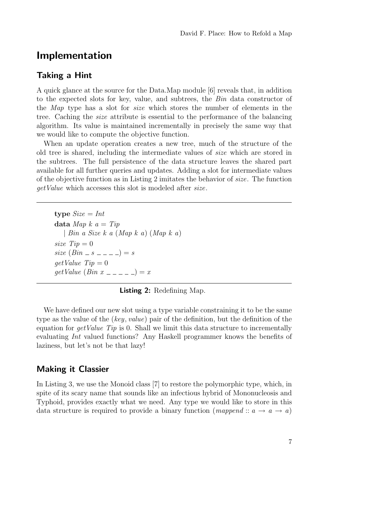### Implementation

#### Taking a Hint

A quick glance at the source for the Data.Map module [\[6\]](#page-12-5) reveals that, in addition to the expected slots for key, value, and subtrees, the Bin data constructor of the Map type has a slot for size which stores the number of elements in the tree. Caching the size attribute is essential to the performance of the balancing algorithm. Its value is maintained incrementally in precisely the same way that we would like to compute the objective function.

When an update operation creates a new tree, much of the structure of the old tree is shared, including the intermediate values of size which are stored in the subtrees. The full persistence of the data structure leaves the shared part available for all further queries and updates. Adding a slot for intermediate values of the objective function as in Listing [2](#page-6-0) imitates the behavior of size. The function getValue which accesses this slot is modeled after size.

type  $Size = Int$ data Map  $k$   $a = Tip$ | Bin a Size k a (Map k a) (Map k a) size  $Tip = 0$ size  $(Bin - s - - - ) = s$  $getValue$   $Tip = 0$ getValue (Bin  $x = - - - = = x$ )

Listing 2: Redefining Map.

<span id="page-6-0"></span>We have defined our new slot using a type variable constraining it to be the same type as the value of the (key, value) pair of the definition, but the definition of the equation for *getValue Tip* is 0. Shall we limit this data structure to incrementally evaluating Int valued functions? Any Haskell programmer knows the benefits of laziness, but let's not be that lazy!

#### Making it Classier

In Listing [3,](#page-7-0) we use the Monoid class [\[7\]](#page-12-6) to restore the polymorphic type, which, in spite of its scary name that sounds like an infectious hybrid of Mononucleosis and Typhoid, provides exactly what we need. Any type we would like to store in this data structure is required to provide a binary function (mappend ::  $a \rightarrow a \rightarrow a$ )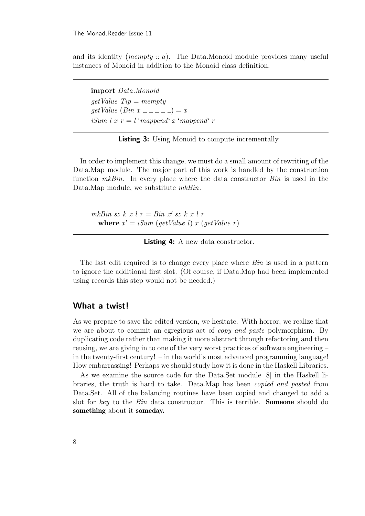and its identity (*mempty* :: *a*). The Data.Monoid module provides many useful instances of Monoid in addition to the Monoid class definition.

import Data.Monoid  $getValue$   $Tip = memory$ getValue (Bin  $x = - - - = x$ ) iSum l x  $r = l$  'mappend' x 'mappend' r

**Listing 3:** Using Monoid to compute incrementally.

<span id="page-7-0"></span>In order to implement this change, we must do a small amount of rewriting of the Data.Map module. The major part of this work is handled by the construction function  $mkBin$ . In every place where the data constructor  $Bin$  is used in the Data. Map module, we substitute  $mkBin$ .

mkBin sz k $x$ l $r = Bin \; x'$ sz k $x$ l r where  $x' = iSum (getValue l) x (getValue r)$ 

Listing 4: A new data constructor.

The last edit required is to change every place where Bin is used in a pattern to ignore the additional first slot. (Of course, if Data.Map had been implemented using records this step would not be needed.)

#### What a twist!

As we prepare to save the edited version, we hesitate. With horror, we realize that we are about to commit an egregious act of *copy and paste* polymorphism. By duplicating code rather than making it more abstract through refactoring and then reusing, we are giving in to one of the very worst practices of software engineering – in the twenty-first century! – in the world's most advanced programming language! How embarrassing! Perhaps we should study how it is done in the Haskell Libraries.

As we examine the source code for the Data.Set module [\[8\]](#page-12-7) in the Haskell libraries, the truth is hard to take. Data.Map has been copied and pasted from Data.Set. All of the balancing routines have been copied and changed to add a slot for key to the  $Bin$  data constructor. This is terrible. **Someone** should do something about it someday.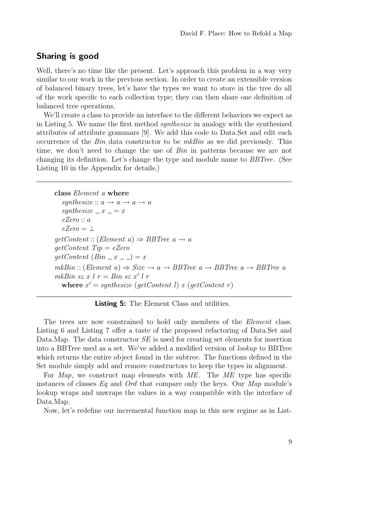#### Sharing is good

Well, there's no time like the present. Let's approach this problem in a way very similar to our work in the previous section. In order to create an extensible version of balanced binary trees, let's have the types we want to store in the tree do all of the work specific to each collection type; they can then share one definition of balanced tree operations.

We'll create a class to provide an interface to the different behaviors we expect as in Listing [5.](#page-8-0) We name the first method synthesize in analogy with the synthesized attributes of attribute grammars [\[9\]](#page-12-8). We add this code to Data.Set and edit each occurrence of the  $Bin$  data constructor to be  $mkBin$  as we did previously. This time, we don't need to change the use of Bin in patterns because we are not changing its definition. Let's change the type and module name to BBTree. (See Listing [10](#page-13-0) in the Appendix for details.)

```
class Element a where
   synthesize \therefore a \rightarrow a \rightarrow a \rightarrow asynthesize x = x = xeZero :: a
   eZero = \perpgetContent :: (Element\ a) \Rightarrow BBTree\ a \rightarrow agetContent Tip = eZerogetContent (Bin x = -) = x
mkBin :: (Element\ a) \Rightarrow Size \rightarrow a \rightarrow BBTree\ a \rightarrow BBTree\ a \rightarrow BBTree\ amkBin\; sz\; x\; l\; r = Bin\; sz\; x'\; l\; rwhere x' = synthesize (getContent l) x (getContent r)
```
Listing 5: The Element Class and utilities.

<span id="page-8-0"></span>The trees are now constrained to hold only members of the Element class. Listing [6](#page-9-0) and Listing [7](#page-9-1) offer a taste of the proposed refactoring of Data.Set and Data.Map. The data constructor SE is used for creating set elements for insertion into a BBTree used as a set. We've added a modified version of lookup to BBTree which returns the entire object found in the subtree. The functions defined in the Set module simply add and remove constructors to keep the types in alignment.

For  $Map$ , we construct map elements with ME. The ME type has specific instances of classes  $Eq$  and  $Ord$  that compare only the keys. Our Map module's lookup wraps and unwraps the values in a way compatible with the interface of Data.Map.

Now, let's redefine our incremental function map in this new regime as in List-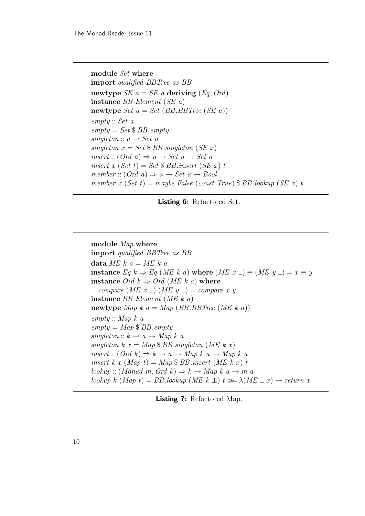module Set where import qualified BBTree as BB newtype *SE*  $a = SE$  a deriving  $(Eq, Ord)$ instance BB.Element (SE a) newtype Set  $a = Set$  (BB.BBTree (SE a)) empty :: Set a  $empty = Set \$ BB.empty$  $singleton :: a \rightarrow Set a$ singleton  $x = Set \$ BB.\nsubject on (SE x)$ insert ::  $(Ord a) \Rightarrow a \rightarrow Set a \rightarrow Set a$ insert x  $(Set t) = Set \$ BB.insert (SE x) t$ member ::  $(Ord\ a) \Rightarrow a \rightarrow Set\ a \rightarrow Bool$ member x  $Set t$  = maybe False (const True) \$ BB.lookup (SE x) t



<span id="page-9-0"></span>module Map where import qualified BBTree as BB data ME  $k$   $a = ME$   $k$   $a$ instance  $Eq \ k \Rightarrow Eq \ (ME \ k \ a)$  where  $(ME \ x \ ) \equiv (ME \ y \ ) = x \equiv y$ instance *Ord*  $k \Rightarrow$  *Ord* (*ME*  $k$  *a*) where compare (ME x  $)$  (ME y  $) =$  compare x y instance BB.Element (ME k a) newtype  $Map k a = Map (BB.BBTree (ME k a))$  $empty:: Map k a$  $empty = Map $BB. empty$  $singleton :: k \rightarrow a \rightarrow Map k a$ singleton k  $x = Map \$  BB.singleton (ME k x) insert :: (Ord k) ⇒ k → a → Map k a → Map k a insert k x  $(Map t) = Map $ BB.insert (ME k x) t$ lookup :: (Monad m, Ord k)  $\Rightarrow$  k  $\rightarrow$  Map k a  $\rightarrow$  m a lookup k  $(Map t) = BB$ .lookup  $(ME k \perp t) \gg \lambda(ME \perp x) \rightarrow return x$ 

<span id="page-9-1"></span>Listing 7: Refactored Map.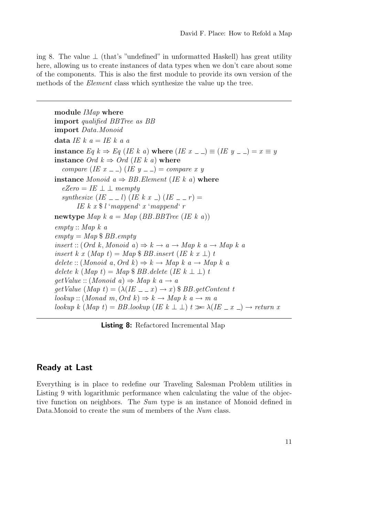ing [8.](#page-10-0) The value ⊥ (that's "undefined" in unformatted Haskell) has great utility here, allowing us to create instances of data types when we don't care about some of the components. This is also the first module to provide its own version of the methods of the *Element* class which synthesize the value up the tree.

module IMap where import qualified BBTree as BB import Data.Monoid data IE  $k$   $a = I E k a a$ instance  $Eq \ k \Rightarrow Eq \ (IE \ k \ a)$  where  $(IE \ x \_ ) \equiv (IE \ y \_ ) = x \equiv y$ instance Ord  $k \Rightarrow$  Ord (IE k a) where compare (IE  $x = \cup$ ) (IE  $y = \cup$ ) = compare x y instance Monoid  $a \Rightarrow BB \cdot Element$  (IE k a) where  $eZero = IE \perp \perp mempty$ synthesize (IE  $_{-1}$ ) (IE k x  $_{-}$ ) (IE  $_{-}$  r)  $=$ IE  $k \times \$  l'mappend' x 'mappend' r newtype Map  $k$   $a = Map(BB.BBTree (IE k a))$ empty :: Map k a  $empty = Map \$  BB.empty insert :: (Ord k, Monoid a)  $\Rightarrow k \rightarrow a \rightarrow Map k$  a  $\rightarrow Map k$  a insert k x (Map t) = Map  $\$$  BB.insert (IE k x  $\perp$ ) t  $delete::(Monoid\ a, Ord\ k) \Rightarrow k \rightarrow Map\ k\ a \rightarrow Map\ k\ a$ delete k  $(Map t) = Map $ BB$ . delete  $(IE k \perp \perp) t$  $getValue::(Monoid\ a) \Rightarrow Map\ k\ a \rightarrow a$  $getValue (Map t) = (\lambda (IE \_ x) \rightarrow x)$  \$ BB.getContent t lookup :: (Monad m, Ord k)  $\Rightarrow$  k  $\rightarrow$  Map k a  $\rightarrow$  m a lookup k  $(Map t) = BB.$ lookup  $(IE k \perp \perp) t \ggg \lambda (IE \perp x \perp) \rightarrow return x$ 

Listing 8: Refactored Incremental Map

#### <span id="page-10-0"></span>Ready at Last

Everything is in place to redefine our Traveling Salesman Problem utilities in Listing [9](#page-11-0) with logarithmic performance when calculating the value of the objective function on neighbors. The Sum type is an instance of Monoid defined in Data. Monoid to create the sum of members of the Num class.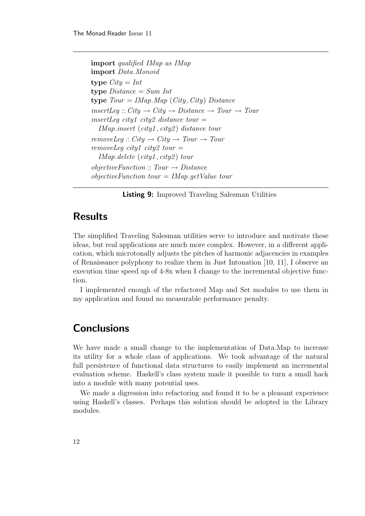```
import qualified IMap as IMap
import Data.Monoid
type City = Inttype Distance = Sum Int
type Tour = \text{Map} \ldotp \text{Map} \text{ } (\text{City}, \text{City}) \text{ Distance}insertLeg :: City \rightarrow City \rightarrow Distance \rightarrow Tour \rightarrow TourinsertLeq city1 city2 distance tour =IMap.insert (city1, city2) distance tour
removeLeg :: City \rightarrow City \rightarrow Tour \rightarrow TourremoveLeq city1 city2 tour =IMap.delete (city1, city2) tourobjectiveFunction::Tour \rightarrow DistanceobjectiveFunction \ tour = IMap.getValue \ tour
```
Listing 9: Improved Traveling Salesman Utilities

## <span id="page-11-0"></span>Results

The simplified Traveling Salesman utilities serve to introduce and motivate these ideas, but real applications are much more complex. However, in a different application, which microtonally adjusts the pitches of harmonic adjacencies in examples of Renaissance polyphony to realize them in Just Intonation [\[10,](#page-12-9) [11\]](#page-12-10), I observe an execution time speed up of 4-8x when I change to the incremental objective function.

I implemented enough of the refactored Map and Set modules to use them in my application and found no measurable performance penalty.

# **Conclusions**

We have made a small change to the implementation of Data.Map to increase its utility for a whole class of applications. We took advantage of the natural full persistence of functional data structures to easily implement an incremental evaluation scheme. Haskell's class system made it possible to turn a small hack into a module with many potential uses.

We made a digression into refactoring and found it to be a pleasant experience using Haskell's classes. Perhaps this solution should be adopted in the Library modules.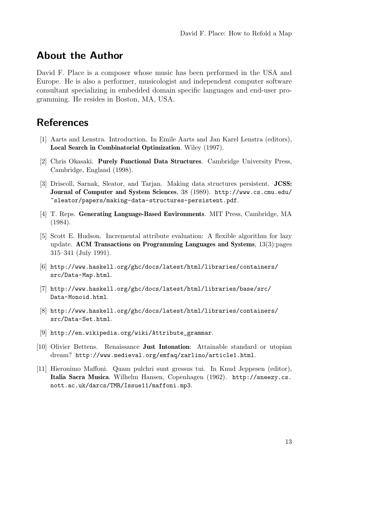### About the Author

David F. Place is a composer whose music has been performed in the USA and Europe. He is also a performer, musicologist and independent computer software consultant specializing in embedded domain specific languages and end-user programming. He resides in Boston, MA, USA.

## **References**

- <span id="page-12-0"></span>[1] Aarts and Lenstra. Introduction. In Emile Aarts and Jan Karel Lenstra (editors), Local Search in Combinatorial Optimization. Wiley (1997).
- <span id="page-12-1"></span>[2] Chris Okasaki. Purely Functional Data Structures. Cambridge University Press, Cambridge, England (1998).
- <span id="page-12-2"></span>[3] Driscoll, Sarnak, Sleator, and Tarjan. Making data structures persistent. JCSS: Journal of Computer and System Sciences, 38 (1989). [http://www.cs.cmu.edu/](http://www.cs.cmu.edu/~sleator/papers/making-data-structures-persistent.pdf) [~sleator/papers/making-data-structures-persistent.pdf](http://www.cs.cmu.edu/~sleator/papers/making-data-structures-persistent.pdf).
- <span id="page-12-3"></span>[4] T. Reps. Generating Language-Based Environments. MIT Press, Cambridge, MA (1984).
- <span id="page-12-4"></span>[5] Scott E. Hudson. Incremental attribute evaluation: A flexible algorithm for lazy update. ACM Transactions on Programming Languages and Systems, 13(3):pages 315–341 (July 1991).
- <span id="page-12-5"></span>[6] [http://www.haskell.org/ghc/docs/latest/html/libraries/containers/](http://www.haskell.org/ghc/docs/latest/html/libraries/containers/src/Data-Map.html) [src/Data-Map.html](http://www.haskell.org/ghc/docs/latest/html/libraries/containers/src/Data-Map.html).
- <span id="page-12-6"></span>[7] [http://www.haskell.org/ghc/docs/latest/html/libraries/base/src/](http://www.haskell.org/ghc/docs/latest/html/libraries/base/src/Data-Monoid.html) [Data-Monoid.html](http://www.haskell.org/ghc/docs/latest/html/libraries/base/src/Data-Monoid.html).
- <span id="page-12-7"></span>[8] [http://www.haskell.org/ghc/docs/latest/html/libraries/containers/](http://www.haskell.org/ghc/docs/latest/html/libraries/containers/src/Data-Set.html) [src/Data-Set.html](http://www.haskell.org/ghc/docs/latest/html/libraries/containers/src/Data-Set.html).
- <span id="page-12-8"></span>[9] [http://en.wikipedia.org/wiki/Attribute\\_grammar](http://en.wikipedia.org/wiki/Attribute_grammar).
- <span id="page-12-9"></span>[10] Olivier Bettens. Renaissance Just Intonation: Attainable standard or utopian dream? <http://www.medieval.org/emfaq/zarlino/article1.html>.
- <span id="page-12-10"></span>[11] Hieronimo Maffoni. Quam pulchri sunt gressus tui. In Knud Jeppesen (editor), Italia Sacra Musica. Wilhelm Hansen, Copenhagen (1962). [http://sneezy.cs.](http://sneezy.cs.nott.ac.uk/darcs/TMR/Issue11/maffoni.mp3) [nott.ac.uk/darcs/TMR/Issue11/maffoni.mp3](http://sneezy.cs.nott.ac.uk/darcs/TMR/Issue11/maffoni.mp3).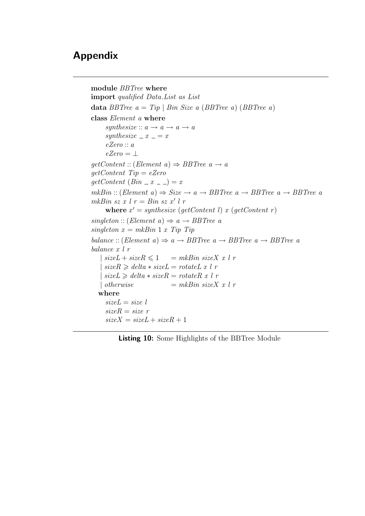# Appendix

```
module BBTree where
import qualified Data.List as List
data BBTree a = Tip | Bin Size a (BBTree a) (BBTree a)class Element a where
     synthesize a \rightarrow a \rightarrow a \rightarrow asynthesize x = x = xeZero :: a
     eZero = \perpgetContent :: (Element\ a) \Rightarrow BBTree\ a \rightarrow agetContent Tip = eZerogetContent (Bin x = -) = x
mkBin::(Element\ a) \Rightarrow Size \rightarrow a \rightarrow BBTree\ a \rightarrow BBTree\ a \rightarrow BBTree\ amkBin\; sz\; x\; l\; r = Bin\; sz\; x'\; l\; rwhere x' = synthesize (getContent l) x (getContent r)
singleton :: (Element a) \Rightarrow a \rightarrow BBTree a
singleton x = mkBin 1 x Tip Tip
balance :: (Element a) \Rightarrow a \rightarrow BBTree a \rightarrow BBTree a \rightarrow BBTree a
balance x l r
    \vert sizeL + sizeR \leq 1 = mkBin sizeX x l r
    \vert sizeR \geqslant delta * sizeL = rotateL x l r
    sizeL \geq delta * sizeR = rotateR x l r| otherwise = mkBin sizeX \ x \ l \ rwhere
     sizeL = size l
     sizeR = size rsize X = sizeL + sizeR + 1
```
<span id="page-13-0"></span>Listing 10: Some Highlights of the BBTree Module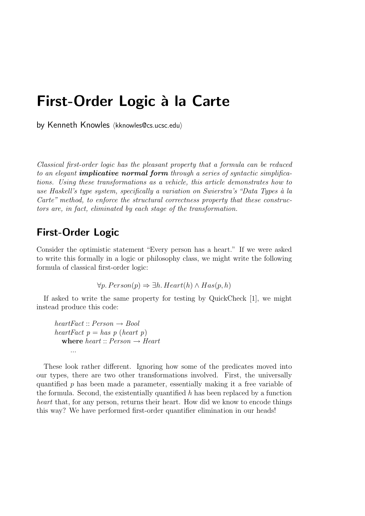# First-Order Logic à la Carte

by Kenneth Knowles (kknowles@cs.ucsc.edu)

<span id="page-14-0"></span>Classical first-order logic has the pleasant property that a formula can be reduced to an elegant **implicative normal form** through a series of syntactic simplifications. Using these transformations as a vehicle, this article demonstrates how to use Haskell's type system, specifically a variation on Swierstra's "Data Types à la Carte" method, to enforce the structural correctness property that these constructors are, in fact, eliminated by each stage of the transformation.

## First-Order Logic

Consider the optimistic statement "Every person has a heart." If we were asked to write this formally in a logic or philosophy class, we might write the following formula of classical first-order logic:

 $\forall p. Person(p) \Rightarrow \exists h. Heart(h) \land Has(p, h)$ 

If asked to write the same property for testing by QuickCheck [\[1\]](#page-33-0), we might instead produce this code:

 $heartFact :: Person \rightarrow Bool$ heartFact  $p = has p (heart p)$ where heart  $: Person \rightarrow Heart$ ...

These look rather different. Ignoring how some of the predicates moved into our types, there are two other transformations involved. First, the universally quantified p has been made a parameter, essentially making it a free variable of the formula. Second, the existentially quantified  $h$  has been replaced by a function heart that, for any person, returns their heart. How did we know to encode things this way? We have performed first-order quantifier elimination in our heads!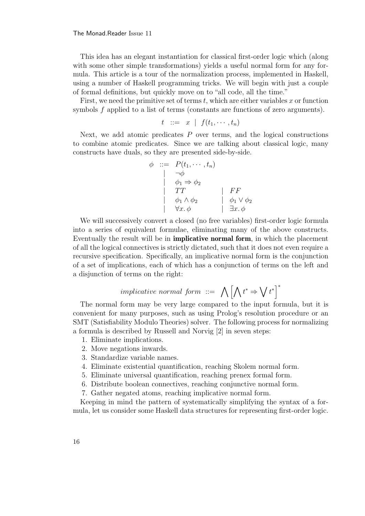This idea has an elegant instantiation for classical first-order logic which (along with some other simple transformations) yields a useful normal form for any formula. This article is a tour of the normalization process, implemented in Haskell, using a number of Haskell programming tricks. We will begin with just a couple of formal definitions, but quickly move on to "all code, all the time."

First, we need the primitive set of terms t, which are either variables x or function symbols f applied to a list of terms (constants are functions of zero arguments).

$$
t \ ::= \ x \ | \ f(t_1, \cdots, t_n)
$$

Next, we add atomic predicates  $P$  over terms, and the logical constructions to combine atomic predicates. Since we are talking about classical logic, many constructs have duals, so they are presented side-by-side.

$$
\begin{array}{rcl}\n\phi & ::= & P(t_1, \cdots, t_n) \\
\downarrow & \neg \phi \\
\downarrow & \phi_1 \Rightarrow \phi_2 \\
\downarrow & TT & \downarrow FF \\
\downarrow & \phi_1 \wedge \phi_2 & \downarrow \phi_1 \vee \phi_2 \\
\downarrow & \forall x. \phi & \exists x. \phi\n\end{array}
$$

We will successively convert a closed (no free variables) first-order logic formula into a series of equivalent formulae, eliminating many of the above constructs. Eventually the result will be in implicative normal form, in which the placement of all the logical connectives is strictly dictated, such that it does not even require a recursive specification. Specifically, an implicative normal form is the conjunction of a set of implications, each of which has a conjunction of terms on the left and a disjunction of terms on the right:

$$
implicative\ normal\ form\ ::=\ \ \bigwedge\Big[\bigwedge t^{*}\Rightarrow\bigvee t^{*}\Big]^{*}
$$

The normal form may be very large compared to the input formula, but it is convenient for many purposes, such as using Prolog's resolution procedure or an SMT (Satisfiability Modulo Theories) solver. The following process for normalizing a formula is described by Russell and Norvig [\[2\]](#page-33-1) in seven steps:

- 1. Eliminate implications.
- 2. Move negations inwards.
- 3. Standardize variable names.
- 4. Eliminate existential quantification, reaching Skolem normal form.
- 5. Eliminate universal quantification, reaching prenex formal form.
- 6. Distribute boolean connectives, reaching conjunctive normal form.
- 7. Gather negated atoms, reaching implicative normal form.

Keeping in mind the pattern of systematically simplifying the syntax of a formula, let us consider some Haskell data structures for representing first-order logic.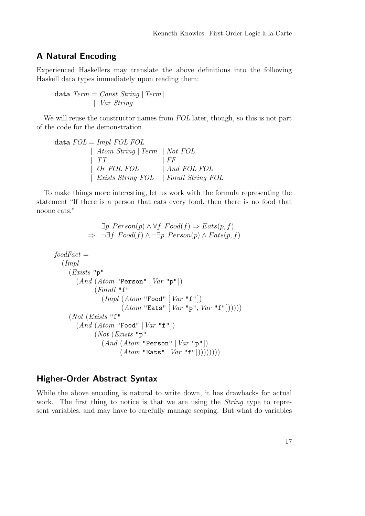#### A Natural Encoding

Experienced Haskellers may translate the above definitions into the following Haskell data types immediately upon reading them:

data  $Term = Const String [Term]$ | Var String

We will reuse the constructor names from FOL later, though, so this is not part of the code for the demonstration.

| data $FOL = Impl$ $FOL$ $FOL$ |                                           |                     |
|-------------------------------|-------------------------------------------|---------------------|
| 1                             | Atom String $[Term]$ $ $ <i>Not</i> $FOL$ |                     |
| 1                             | TT                                        | FF                  |
| 1                             | Or $FOL$ $FOL$                            | And $FOL$ $FOL$     |
| 1                             | Exists String $FOL$                       | Forall String $FOL$ |

To make things more interesting, let us work with the formula representing the statement "If there is a person that eats every food, then there is no food that noone eats."

$$
\exists p. Person(p) \land \forall f. Food(f) \Rightarrow Easts(p, f)
$$
  

$$
\Rightarrow \neg \exists f. Food(f) \land \neg \exists p. Person(p) \land Easts(p, f)
$$

```
foodFact =(Impl
    (Exists "p"
      (And (Atom "Person" [Var "p"]))(Forall "f"(Impl (Atom "Food" [Var "f"]))(Atom "Eats" [Var "p", Var "f"]))))
    (Not (Exists "f")(And (Atom "Food" [Var "f"]))(Not (Exists "p")(And (Atom "Person" [Var "p"]))(Atom \text{ "Eats" } [Var \text{ "f" }]))))))
```
#### Higher-Order Abstract Syntax

While the above encoding is natural to write down, it has drawbacks for actual work. The first thing to notice is that we are using the *String* type to represent variables, and may have to carefully manage scoping. But what do variables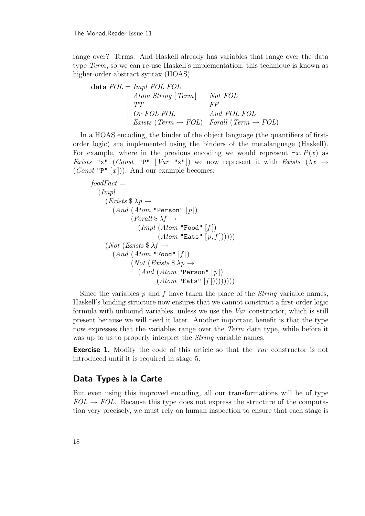range over? Terms. And Haskell already has variables that range over the data type Term, so we can re-use Haskell's implementation; this technique is known as higher-order abstract syntax (HOAS).

| data $FOL = Impl$ $FOL$ $FOL$ |                                    |                                     |
|-------------------------------|------------------------------------|-------------------------------------|
| 1                             | Atom String [Term]                 | Not $FOL$                           |
| 1                             | TT                                 | FF                                  |
| 1                             | Or $FOL$ $FOL$                     | And $FOL$ $FOL$                     |
| 1                             | Exists (Term $\rightarrow$ $FOL$ ) | For all (Term $\rightarrow$ $FOL$ ) |

In a HOAS encoding, the binder of the object language (the quantifiers of firstorder logic) are implemented using the binders of the metalanguage (Haskell). For example, where in the previous encoding we would represent  $\exists x. P(x)$  as Exists "x" (Const "P" [Var "x"]) we now represent it with Exists ( $\lambda x \rightarrow$ (*Const* "P"  $[x]$ )). And our example becomes:

$$
foodFact =
$$
\n
$$
(Impl
$$
\n
$$
(Exists \$ \lambda p \rightarrow
$$
\n
$$
(And (Atom "Person" [p])
$$
\n
$$
(For all \$ \lambda f \rightarrow
$$
\n
$$
(Impl (Atom "Food" [f])
$$
\n
$$
(Atom "Eats" [p, f)]))))
$$
\n
$$
(Not (Exists \$ \lambda f \rightarrow
$$
\n
$$
(And (Atom "Food" [f])
$$
\n
$$
(Not (Exists \$ \lambda p \rightarrow
$$
\n
$$
(And (Atom "Person" [p])
$$
\n
$$
(Atom "Eats" [f])))))))))
$$

Since the variables p and f have taken the place of the *String* variable names, Haskell's binding structure now ensures that we cannot construct a first-order logic formula with unbound variables, unless we use the Var constructor, which is still present because we will need it later. Another important benefit is that the type now expresses that the variables range over the Term data type, while before it was up to us to properly interpret the *String* variable names.

**Exercise 1.** Modify the code of this article so that the Var constructor is not introduced until it is required in stage 5.

#### Data Types à la Carte

But even using this improved encoding, all our transformations will be of type  $FOL \rightarrow FOL$ . Because this type does not express the structure of the computation very precisely, we must rely on human inspection to ensure that each stage is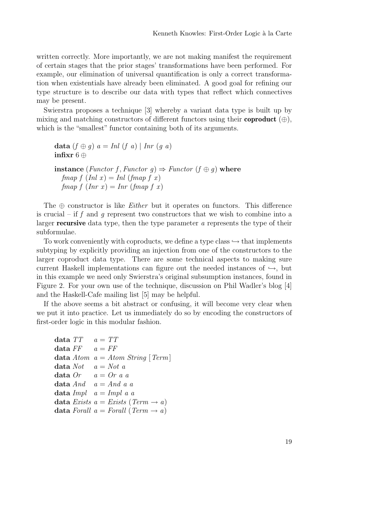written correctly. More importantly, we are not making manifest the requirement of certain stages that the prior stages' transformations have been performed. For example, our elimination of universal quantification is only a correct transformation when existentials have already been eliminated. A good goal for refining our type structure is to describe our data with types that reflect which connectives may be present.

Swierstra proposes a technique [\[3\]](#page-34-0) whereby a variant data type is built up by mixing and matching constructors of different functors using their **coproduct**  $(\oplus)$ , which is the "smallest" functor containing both of its arguments.

```
data (f \oplus q) a = Inl (f a) | Inr (q a)infixr 6 \oplusinstance (Functor f, Functor q) \Rightarrow Functor (f \oplus q) where
  fmap f (Int x) = Int (fmap f x)fmap f (Inr x) = Inr (fmap f x)
```
The  $\oplus$  constructor is like *Either* but it operates on functors. This difference is crucial – if f and q represent two constructors that we wish to combine into a larger **recursive** data type, then the type parameter a represents the type of their subformulae.

To work conveniently with coproducts, we define a type class  $\hookrightarrow$  that implements subtyping by explicitly providing an injection from one of the constructors to the larger coproduct data type. There are some technical aspects to making sure current Haskell implementations can figure out the needed instances of  $\hookrightarrow$ , but in this example we need only Swierstra's original subsumption instances, found in Figure [2.](#page-19-0) For your own use of the technique, discussion on Phil Wadler's blog [\[4\]](#page-34-1) and the Haskell-Cafe mailing list [\[5\]](#page-34-2) may be helpful.

If the above seems a bit abstract or confusing, it will become very clear when we put it into practice. Let us immediately do so by encoding the constructors of first-order logic in this modular fashion.

| $data\; TT \quad a = TT$                         |
|--------------------------------------------------|
| data $FF \qquad a = FF$                          |
| <b>data</b> Atom $a = Atom String [Term]$        |
| data Not $a = Not$ a                             |
| data $Or$ $a = Or a a$                           |
| data And $a = And a a$                           |
| data Impl $a = Impl$ a a                         |
| data Exists $a = Exists$ (Term $\rightarrow a$ ) |
| data Forall $a = Forall$ (Term $\rightarrow a$ ) |
|                                                  |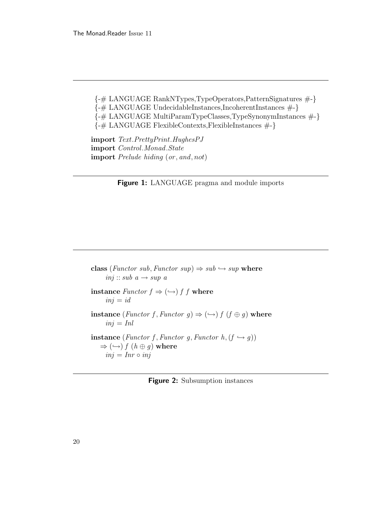{-# LANGUAGE RankNTypes,TypeOperators,PatternSignatures #-} {-# LANGUAGE UndecidableInstances,IncoherentInstances #-} {-# LANGUAGE MultiParamTypeClasses,TypeSynonymInstances #-} {-# LANGUAGE FlexibleContexts,FlexibleInstances #-}

import Text.PrettyPrint.HughesPJ import Control.Monad.State import Prelude hiding (or, and, not)

Figure 1: LANGUAGE pragma and module imports

class (Functor sub, Functor sup)  $\Rightarrow$  sub  $\hookrightarrow$  sup where  $inj :: sub a \rightarrow sup a$ instance Functor  $f \Rightarrow (\hookrightarrow) f f$  where  $inj = id$ instance (Functor f, Functor g)  $\Rightarrow$   $(\rightarrow)$  f (f  $\oplus$  g) where  $inj = Inl$ instance (Functor f, Functor g, Functor  $h, (f \hookrightarrow g)$ )  $\Rightarrow$  ( $\leftrightarrow$ ) f (h  $\oplus$  g) where  $inj = \text{Inr} \circ inj$ 

<span id="page-19-0"></span>Figure 2: Subsumption instances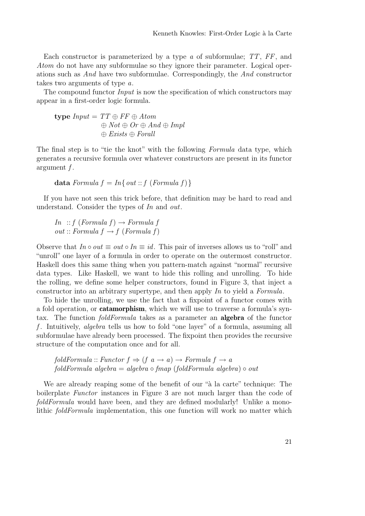Each constructor is parameterized by a type a of subformulae; TT, FF, and Atom do not have any subformulae so they ignore their parameter. Logical operations such as And have two subformulae. Correspondingly, the And constructor takes two arguments of type a.

The compound functor *Input* is now the specification of which constructors may appear in a first-order logic formula.

type  $Input = TT \oplus FF \oplus Atom$  $\oplus$  Not  $\oplus$  Or  $\oplus$  And  $\oplus$  Impl ⊕ Exists ⊕ Forall

The final step is to "tie the knot" with the following *Formula* data type, which generates a recursive formula over whatever constructors are present in its functor argument  $f$ .

$$
data \text{ } Formula \text{ } f = In \{ \text{ } out :: f \text{ } (Formula \text{ } f) \}
$$

If you have not seen this trick before, that definition may be hard to read and understand. Consider the types of In and out.

In :: f  $(Formula f) \rightarrow Formula f$ out :: Formula  $f \rightarrow f$  (Formula f)

Observe that  $In \circ out \equiv out \circ In \equiv id$ . This pair of inverses allows us to "roll" and "unroll" one layer of a formula in order to operate on the outermost constructor. Haskell does this same thing when you pattern-match against "normal" recursive data types. Like Haskell, we want to hide this rolling and unrolling. To hide the rolling, we define some helper constructors, found in Figure [3,](#page-22-0) that inject a constructor into an arbitrary supertype, and then apply In to yield a Formula.

To hide the unrolling, we use the fact that a fixpoint of a functor comes with a fold operation, or catamorphism, which we will use to traverse a formula's syntax. The function *foldFormula* takes as a parameter an **algebra** of the functor f . Intuitively, algebra tells us how to fold "one layer" of a formula, assuming all subformulae have already been processed. The fixpoint then provides the recursive structure of the computation once and for all.

 $foldFormula :: Function f \Rightarrow (f \ a \rightarrow a) \rightarrow Formula f \rightarrow a$  $foldFormula \ algebra = algebra \circ \text{fmap} (foldFormula \ algebra) \circ \text{out}$ 

We are already reaping some of the benefit of our "à la carte" technique: The boilerplate Functor instances in Figure [3](#page-22-0) are not much larger than the code of foldFormula would have been, and they are defined modularly! Unlike a monolithic *foldFormula* implementation, this one function will work no matter which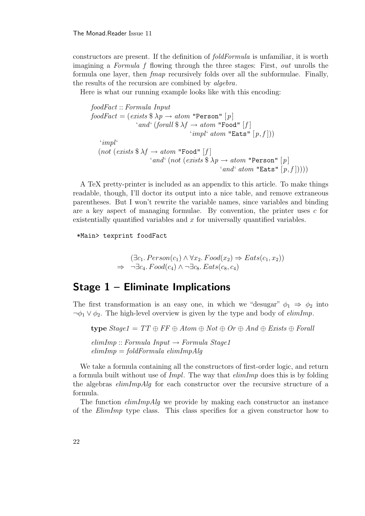constructors are present. If the definition of foldFormula is unfamiliar, it is worth imagining a Formula f flowing through the three stages: First, out unrolls the formula one layer, then fmap recursively folds over all the subformulae. Finally, the results of the recursion are combined by algebra.

Here is what our running example looks like with this encoding:

```
foodFact :: Formula Input
foodFact = (exists \& \lambda p \rightarrow atom \text{ "Person" } [p]'and' (forall \$\lambda f \rightarrow atom "Food" [f]
                                       'impl' atom "Eats" [p, f]))
   'impl'
   (not (exists \$\lambda f \rightarrow atom "Food" [f]
                        'and' (not (exists \$\lambda p\to atom "Person" [p]'and' atom "Eats" [p, f])))
```
A TeX pretty-printer is included as an appendix to this article. To make things readable, though, I'll doctor its output into a nice table, and remove extraneous parentheses. But I won't rewrite the variable names, since variables and binding are a key aspect of managing formulae. By convention, the printer uses  $c$  for existentially quantified variables and x for universally quantified variables.

\*Main> texprint foodFact

 $(\exists c_1. Person(c_1) \land \forall x_2. Food(x_2) \Rightarrow Easts(c_1, x_2))$  $\Rightarrow \neg \exists c_4. \, Food(c_4) \land \neg \exists c_8. \, Easts(c_8, c_4)$ 

# Stage 1 – Eliminate Implications

The first transformation is an easy one, in which we "desugar"  $\phi_1 \Rightarrow \phi_2$  into  $\neg \phi_1 \lor \phi_2$ . The high-level overview is given by the type and body of *elimImp*.

type  $Stage1 = TT \oplus FF \oplus Atom \oplus Not \oplus Or \oplus And \oplus Exist \oplus Forall$ 

 $elimImp :: Formula Input \rightarrow Formula State1$  $elimImp = foldFormula \; elimImpAlg$ 

We take a formula containing all the constructors of first-order logic, and return a formula built without use of  $Impl$ . The way that  $elimImp$  does this is by folding the algebras elimImpAlg for each constructor over the recursive structure of a formula.

The function  $elimImpAlg$  we provide by making each constructor an instance of the ElimImp type class. This class specifies for a given constructor how to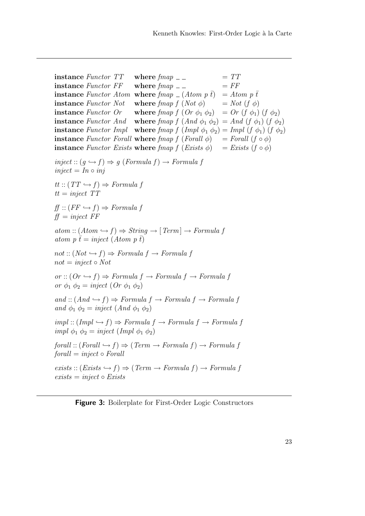instance Functor  $TT$  where  $fmap = T$ instance Functor  $FF$  where  $fmap = F$ instance Functor Atom where fmap  $(A \text{to } p \bar{t}) = A \text{to } p \bar{t}$ instance Functor Not where fmap f  $(Not \phi)$  = Not  $(f \phi)$ instance Functor Or where fmap  $f$   $(Or \phi_1 \phi_2) = Or (f \phi_1) (f \phi_2)$ instance Functor And where fmap f  $(And \phi_1 \phi_2) = And (f \phi_1) (f \phi_2)$ instance Functor Impl where fmap f  $(Impl \phi_1 \phi_2) = Impl (f \phi_1) (f \phi_2)$ instance Functor Forall where fmap f (Forall  $\phi$ ) = Forall  $(f \circ \phi)$ instance Functor Exists where fmap  $f$  (Exists  $\phi$ ) = Exists  $(f \circ \phi)$  $inject: (g \hookrightarrow f) \Rightarrow g$  (Formula f)  $\rightarrow$  Formula f  $inject = In \circ inj$  $tt :: (TT \hookrightarrow f) \Rightarrow Formula f$  $tt = inject$   $TT$  $ff :: (FF \hookrightarrow f) \Rightarrow Formula f$  $f\mathbf{f} = inject \ F\mathbf{F}$  $atom :: (Atom \rightarrow f) \Rightarrow String \rightarrow [Term] \rightarrow Formula f$ atom p  $\bar{t}$  = inject (Atom p  $\bar{t}$ )  $not :: (Not \hookrightarrow f) \Rightarrow Formula f \rightarrow Formula f$  $not = inject \circ Not$ or ::  $(Or \hookrightarrow f) \Rightarrow Formula f \rightarrow Formula f \rightarrow Formula f$ or  $\phi_1$   $\phi_2$  = inject (Or  $\phi_1$   $\phi_2$ ) and ::  $(And \hookrightarrow f) \Rightarrow Formula f \rightarrow Formula f \rightarrow Formula f$ and  $\phi_1 \phi_2 = inject (And \phi_1 \phi_2)$  $impl$ ::  $(Impl \hookrightarrow f) \Rightarrow Formula f \rightarrow Formula f \rightarrow Formula f$ impl  $\phi_1 \phi_2 = inject (Impl \phi_1 \phi_2)$  $for all :: (For all \rightarrow f) \Rightarrow (Term \rightarrow Formula f) \rightarrow Formula f$  $for all = inject \circ For all$ exists ::  $(Exists \hookrightarrow f) \Rightarrow (Term \rightarrow Formula f) \rightarrow Formula f$  $exists = inject \circ Exists$ 

#### <span id="page-22-0"></span>Figure 3: Boilerplate for First-Order Logic Constructors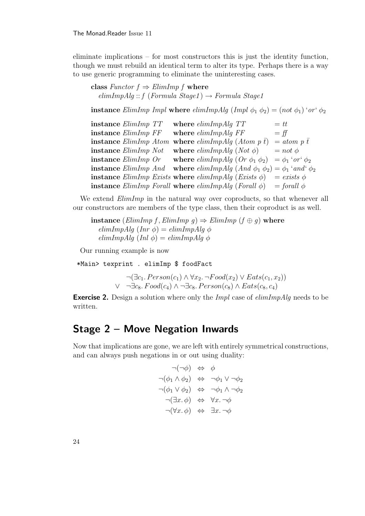eliminate implications – for most constructors this is just the identity function, though we must rebuild an identical term to alter its type. Perhaps there is a way to use generic programming to eliminate the uninteresting cases.

```
class Functor f \Rightarrow ElimImp f where
  elimImpAlg :: f (Formula Stage1) \rightarrow Formula Stage1
```
instance ElimImp Impl where  $elimImpAlg$  (Impl  $\phi_1 \phi_2$ ) = (not  $\phi_1$ ) 'or ' $\phi_2$ 

instance  $ElimImp$   $TT$  where  $elimImpAlg$   $TT$   $=$   $tt$ instance  $ElimImp\ FF$  where  $elimImpAlg\ FF$  = ff instance ElimImp Atom where  $elimImpAlg$  (Atom p  $\bar{t}$ ) = atom p  $\bar{t}$ instance ElimImp Not where  $elimImpAlg (Not \phi)$  = not  $\phi$ instance ElimImp Or where  $elimImpAlg$  (Or  $\phi_1 \phi_2$ ) =  $\phi_1$  'or ' $\phi_2$ instance ElimImp And where  $elimImpAlg$  (And  $\phi_1 \phi_2$ ) =  $\phi_1$ 'and'  $\phi_2$ instance ElimImp Exists where  $elimImpAlg$  (Exists  $\phi$ ) = exists  $\phi$ instance ElimImp Forall where  $elimImpAlg$  (Forall  $\phi$ ) = forall  $\phi$ 

We extend *ElimImp* in the natural way over coproducts, so that whenever all our constructors are members of the type class, then their coproduct is as well.

instance (ElimImp f, ElimImp g)  $\Rightarrow$  ElimImp (f  $\oplus$  g) where  $elimImpAlg (Inr \phi) = elimImpAlg \phi$  $elimImpAlg (Inl \phi) = elimImpAlg \phi$ 

Our running example is now

\*Main> texprint . elimImp \$ foodFact

 $\neg(\exists c_1. Person(c_1) \land \forall x_2. \neg Food(x_2) \lor East(s(c_1, x_2))$  $\vee$  ¬∃c<sub>8</sub>.  $Food(c_4) \wedge \neg \exists c_8$ .  $Person(c_8) \wedge East(c_8, c_4)$ 

**Exercise 2.** Design a solution where only the  $Impl$  case of  $elimImplg$  needs to be written.

### Stage 2 – Move Negation Inwards

Now that implications are gone, we are left with entirely symmetrical constructions, and can always push negations in or out using duality:

$$
\neg(\neg\phi) \Leftrightarrow \phi
$$
  
\n
$$
\neg(\phi_1 \land \phi_2) \Leftrightarrow \neg\phi_1 \lor \neg\phi_2
$$
  
\n
$$
\neg(\phi_1 \lor \phi_2) \Leftrightarrow \neg\phi_1 \land \neg\phi_2
$$
  
\n
$$
\neg(\exists x.\ \phi) \Leftrightarrow \forall x.\ \neg\phi
$$
  
\n
$$
\neg(\forall x.\ \phi) \Leftrightarrow \exists x.\ \neg\phi
$$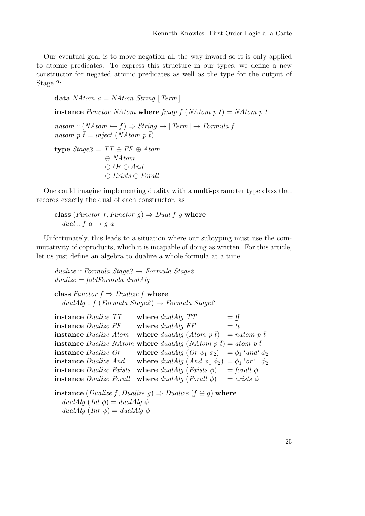Our eventual goal is to move negation all the way inward so it is only applied to atomic predicates. To express this structure in our types, we define a new constructor for negated atomic predicates as well as the type for the output of Stage 2:

data NAtom  $a = NA$ tom String [Term]

instance Functor NAtom where fmap f (NAtom p  $\bar{t}$ ) = NAtom p  $\bar{t}$ 

 $natom :: (NAtom \hookrightarrow f) \Rightarrow String \rightarrow [Term] \rightarrow Formula f$ natom p  $\overline{t}$  = inject (NAtom p  $\overline{t}$ )

type  $Stage2 = TT \oplus FF \oplus Atom$ ⊕ NAtom  $\oplus$  Or  $\oplus$  And ⊕ Exists ⊕ Forall

One could imagine implementing duality with a multi-parameter type class that records exactly the dual of each constructor, as

class (Functor f, Functor  $q$ )  $\Rightarrow$  Dual f q where  $dual :: f \t a \rightarrow q \t a$ 

Unfortunately, this leads to a situation where our subtyping must use the commutativity of coproducts, which it is incapable of doing as written. For this article, let us just define an algebra to dualize a whole formula at a time.

 $dualize :: Formula Stage2 \rightarrow Formula Stage2$  $dualize = foldFormula \t dualAlg$ class Functor  $f \Rightarrow Dualize f$  where  $dualAlg :: f (Formula Stage 2) \rightarrow Formula Stage 2$ instance Dualize  $TT$  where dualAlg  $TT = ff$ 

instance Dualize  $FF$  where dualAlg  $FF$  = tt instance Dualize Atom where dualAlg  $(Atom\ p\ \bar{t}) = natom\ p\ \bar{t}$ instance Dualize NAtom where dualAlg (NAtom  $p \bar{t}$ ) = atom  $p \bar{t}$ instance Dualize Or where dualAlg  $(Or \phi_1 \phi_2) = \phi_1 \text{`and`}\phi_2$ instance Dualize And where dualAlg  $(And \phi_1 \phi_2) = \phi_1$  'or '  $\phi_2$ instance Dualize Exists where dualAlg (Exists  $\phi$ ) = forall  $\phi$ instance Dualize Forall where dualAlg (Forall  $\phi$ ) = exists  $\phi$ 

instance (Dualize f, Dualize  $q \Rightarrow$  Dualize (f  $\oplus q$ ) where  $dualAlg (Inl \phi) = dualAlg \phi$  $dualAlg (Inr \phi) = dualAlg \phi$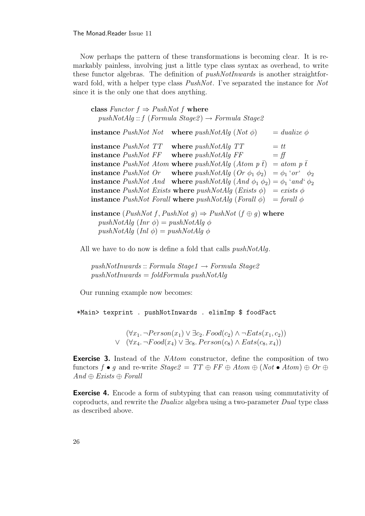Now perhaps the pattern of these transformations is becoming clear. It is remarkably painless, involving just a little type class syntax as overhead, to write these functor algebras. The definition of *pushNotInwards* is another straightforward fold, with a helper type class  $PushNot$ . I've separated the instance for Not since it is the only one that does anything.

class Functor  $f \Rightarrow \text{PushNot } f$  where  $pushNotAlg :: f (Formula Stage2) \rightarrow Formula Stage2$ instance PushNot Not where pushNotAlg (Not  $\phi$ ) = dualize  $\phi$ instance PushNot  $TT$  where pushNotAlg  $TT = tt$ instance PushNot FF where pushNotAlg FF  $=$  ff instance PushNot Atom where pushNotAlq (Atom p  $\bar{t}$ ) = atom p  $\bar{t}$ instance PushNot Or where pushNotAlg  $(Or \phi_1 \phi_2) = \phi_1$ 'or'  $\phi_2$ instance PushNot And where pushNotAlg (And  $\phi_1 \phi_2$ ) =  $\phi_1$  'and'  $\phi_2$ instance PushNot Exists where pushNotAlg (Exists  $\phi$ ) = exists  $\phi$ instance PushNot Forall where pushNotAlg (Forall  $\phi$ ) = forall  $\phi$ 

instance  $(PushNot f, PushNot g) \Rightarrow PushNot (f \oplus g)$  where pushNotAlg  $(Inv \phi) = pushNotAlg \phi$ pushNotAlq (Inl  $\phi$ ) = pushNotAlq  $\phi$ 

All we have to do now is define a fold that calls *pushNotAlg*.

 $pushNotInwards :: Formula Stage1 \rightarrow Formula Stage2$  $pushNotInwards = foldFormula \ pushNotAlg$ 

Our running example now becomes:

\*Main> texprint . pushNotInwards . elimImp \$ foodFact

 $(\forall x_1. \neg Person(x_1) \lor \exists c_2. Food(c_2) \land \neg Easts(x_1, c_2))$  $\vee$  (∀x<sub>4</sub>. ¬Food(x<sub>4</sub>)  $\vee$  ∃c<sub>8</sub>. Person(c<sub>8</sub>) ∧ Eats(c<sub>8</sub>, x<sub>4</sub>))

**Exercise 3.** Instead of the *NAtom* constructor, define the composition of two functors f • q and re-write  $Stage = TT \oplus FF \oplus Atom \oplus (Not \bullet Atom) \oplus Or \oplus$  $And \oplus E$ 

Exercise 4. Encode a form of subtyping that can reason using commutativity of coproducts, and rewrite the Dualize algebra using a two-parameter Dual type class as described above.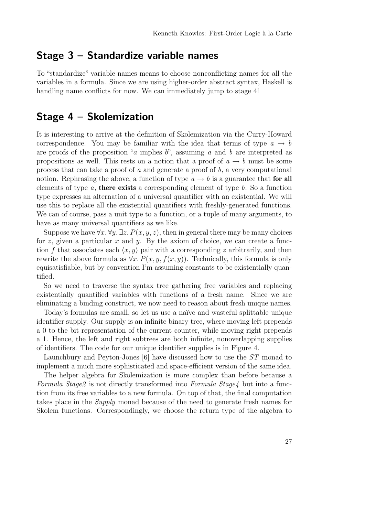### Stage 3 – Standardize variable names

To "standardize" variable names means to choose nonconflicting names for all the variables in a formula. Since we are using higher-order abstract syntax, Haskell is handling name conflicts for now. We can immediately jump to stage 4!

# Stage 4 – Skolemization

It is interesting to arrive at the definition of Skolemization via the Curry-Howard correspondence. You may be familiar with the idea that terms of type  $a \rightarrow b$ are proofs of the proposition "a implies  $b$ ", assuming a and b are interpreted as propositions as well. This rests on a notion that a proof of  $a \to b$  must be some process that can take a proof of a and generate a proof of  $b$ , a very computational notion. Rephrasing the above, a function of type  $a \rightarrow b$  is a guarantee that for all elements of type  $a$ , there exists a corresponding element of type  $b$ . So a function type expresses an alternation of a universal quantifier with an existential. We will use this to replace all the existential quantifiers with freshly-generated functions. We can of course, pass a unit type to a function, or a tuple of many arguments, to have as many universal quantifiers as we like.

Suppose we have  $\forall x. \forall y. \exists z. P(x, y, z)$ , then in general there may be many choices for z, given a particular x and y. By the axiom of choice, we can create a function f that associates each  $\langle x, y \rangle$  pair with a corresponding z arbitrarily, and then rewrite the above formula as  $\forall x \, P(x, y, f(x, y))$ . Technically, this formula is only equisatisfiable, but by convention I'm assuming constants to be existentially quantified.

So we need to traverse the syntax tree gathering free variables and replacing existentially quantified variables with functions of a fresh name. Since we are eliminating a binding construct, we now need to reason about fresh unique names.

Today's formulas are small, so let us use a naïve and wasteful splittable unique identifier supply. Our supply is an infinite binary tree, where moving left prepends a 0 to the bit representation of the current counter, while moving right prepends a 1. Hence, the left and right subtrees are both infinite, nonoverlapping supplies of identifiers. The code for our unique identifier supplies is in Figure [4.](#page-27-0)

Launchbury and Peyton-Jones [\[6\]](#page-34-3) have discussed how to use the ST monad to implement a much more sophisticated and space-efficient version of the same idea.

The helper algebra for Skolemization is more complex than before because a Formula Stage2 is not directly transformed into Formula Stage4 but into a function from its free variables to a new formula. On top of that, the final computation takes place in the Supply monad because of the need to generate fresh names for Skolem functions. Correspondingly, we choose the return type of the algebra to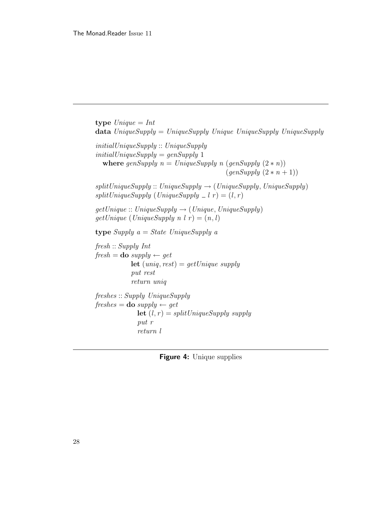```
type Unique = Intdata UniqueSupply = UniqueSupply Unique UniqueSupply UniqueSupply
initialUniqueSupply :: UniqueSupply
initialUniqueSupply = genSupply 1where genSupply n = UniqueSupply n (genSupply (2*n))(qenSupply (2*n+1))splitUniqueSupply :: UniqueSupply \rightarrow (UniqueSupply, UniqueSupply)splitUniqueSupply (UniqueSupply \_l r ) = (l, r)getUnique::UniqueSupply \rightarrow (Unique, UniqueSupply)getUnique (UniqueSupply n l r) = (n, l)type Supply a = State\ UniqueSupply\ afresh :: Supply Int
{\it fresh} = do supply \leftarrow {\it get}let (uniq, rest) = getUnique supplyput rest
           return uniq
freshes :: Supply UniqueSupply
freshes =do supply \leftarrow getlet (l, r) = split UniqueSupply supplyput r
             return l
```
<span id="page-27-0"></span>Figure 4: Unique supplies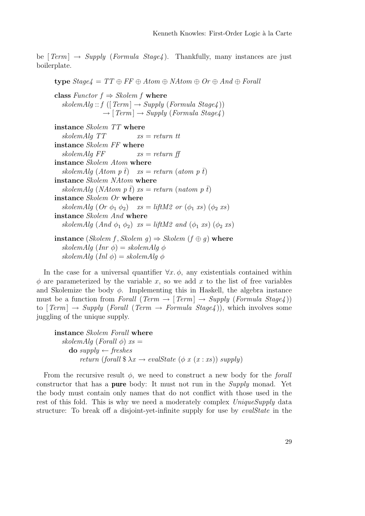be  $[Term] \rightarrow Supply$  (Formula Stage4). Thankfully, many instances are just boilerplate.

type  $Stage4 = TT \oplus FF \oplus Atom \oplus Natom \oplus Or \oplus And \oplus Forall$ class Functor  $f \Rightarrow Skolem f$  where skolem $Alg : f([Term] \rightarrow Supply (Formula Stage4))$  $\rightarrow [Term] \rightarrow Supply (Formula Stage4)$ instance Skolem TT where  $skolemAlg$   $TT$   $xs = return$  tt instance Skolem FF where skolemAlg FF  $xs = return$  ff instance Skolem Atom where skolem $Alg$  (Atom p  $\bar{t}$ )  $xs = return$  (atom p  $\bar{t}$ ) instance Skolem NAtom where skolem $Alg$  (NAtom p  $\bar{t}$ ) xs = return (natom p  $\bar{t}$ ) instance Skolem Or where skolemAlg  $(Or \phi_1 \phi_2)$   $xs = liftM2 \text{ or } (\phi_1 xs) (\phi_2 xs)$ instance Skolem And where skolemAlg  $(And \phi_1 \phi_2)$   $xs = liftM2$  and  $(\phi_1 xs)$   $(\phi_2 xs)$ instance (Skolem f, Skolem g)  $\Rightarrow$  Skolem (f  $\oplus$  g) where skolem $Alg$  (Inr  $\phi$ ) = skolem $Alg$   $\phi$ skolem $Alg$  (Inl  $\phi$ ) = skolem $Alg$   $\phi$ 

In the case for a universal quantifier  $\forall x \, \phi$ , any existentials contained within  $\phi$  are parameterized by the variable x, so we add x to the list of free variables and Skolemize the body  $\phi$ . Implementing this in Haskell, the algebra instance must be a function from Forall (Term  $\rightarrow$  [Term]  $\rightarrow$  Supply (Formula Stage4)) to  $[Term] \rightarrow Supply$  (Forall (Term  $\rightarrow$  Formula Stage4)), which involves some juggling of the unique supply.

instance Skolem Forall where skolem $Alg$  (Forall  $\phi$ ) xs =  $\mathbf{do} \, \text{supply} \leftarrow \text{freshes}$ return (forall  $\lambda x \rightarrow evalState$  ( $\phi x$  ( $x : xs$ )) supply)

From the recursive result  $\phi$ , we need to construct a new body for the *forall* constructor that has a **pure** body: It must not run in the *Supply* monad. Yet the body must contain only names that do not conflict with those used in the rest of this fold. This is why we need a moderately complex *UniqueSupply* data structure: To break off a disjoint-yet-infinite supply for use by *evalState* in the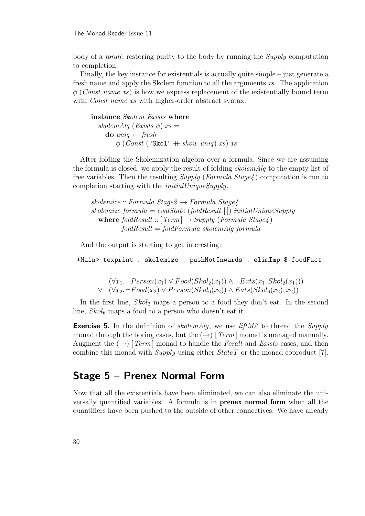body of a *forall*, restoring purity to the body by running the *Supply* computation to completion.

Finally, the key instance for existentials is actually quite simple – just generate a fresh name and apply the Skolem function to all the arguments xs. The application  $\phi$  (Const name xs) is how we express replacement of the existentially bound term with *Const name xs* with higher-order abstract syntax.

```
instance Skolem Exists where
   skolemAlg (Exists \phi) xs =
     \mathbf{do} uniq \leftarrow fresh
         \phi (Const ("Skol" ++ show uniq) xs) xs
```
After folding the Skolemization algebra over a formula, Since we are assuming the formula is closed, we apply the result of folding  $skolemAlg$  to the empty list of free variables. Then the resulting Supply (Formula Stage4) computation is run to completion starting with the initialUniqueSupply.

skolemize :: Formula Stage2  $\rightarrow$  Formula Stage4  $skolemize formula = evalState (foldResult []) initial UniqueSupply$ where  $foldResult :: [Term] \rightarrow Supply (Formula Stage4)$  $foldResult = foldFormula \ skolemAlg \ formula$ 

And the output is starting to get interesting:

\*Main> texprint . skolemize . pushNotInwards . elimImp \$ foodFact

 $(\forall x_1. \neg Person(x_1) \lor Food(Skol_2(x_1)) \land \neg Easts(x_1, Skol_2(x_1)))$ ∨  $(\forall x_2. \neg Food(x_2) \lor Person(Skol_6(x_2)) \land EastS(Skol_6(x_2), x_2))$ 

In the first line,  $Skol_2$  maps a person to a food they don't eat. In the second line,  $Skol_6$  maps a food to a person who doesn't eat it.

**Exercise 5.** In the definition of skolemAlg, we use liftM2 to thread the Supply monad through the boring cases, but the  $(\rightarrow)$  [Term] monad is managed manually. Augment the  $(\rightarrow)$  [Term] monad to handle the Forall and Exists cases, and then combine this monad with *Supply* using either *StateT* or the monad coproduct [\[7\]](#page-34-4).

## Stage 5 – Prenex Normal Form

Now that all the existentials have been eliminated, we can also eliminate the universally quantified variables. A formula is in prenex normal form when all the quantifiers have been pushed to the outside of other connectives. We have already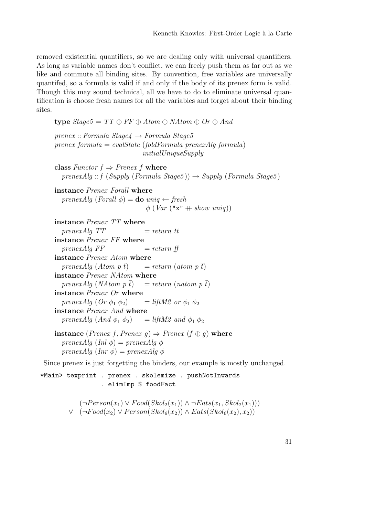removed existential quantifiers, so we are dealing only with universal quantifiers. As long as variable names don't conflict, we can freely push them as far out as we like and commute all binding sites. By convention, free variables are universally quantifed, so a formula is valid if and only if the body of its prenex form is valid. Though this may sound technical, all we have to do to eliminate universal quantification is choose fresh names for all the variables and forget about their binding sites.

type  $Stage5 = TT \oplus FF \oplus Atom \oplus Natom \oplus Or \oplus And$ prenex :: Formula Stage4  $\rightarrow$  Formula Stage5 prenex formula  $= evalState$  (foldFormula prenexAlg formula) initialUniqueSupply class Functor  $f \Rightarrow$  Prenex f where  $prenexAlg :: f (Supply (Formula Stage 5)) \rightarrow Supply (Formula Stage 5)$ instance Prenex Forall where prenexAlq (Forall  $\phi$ ) = **do** uniq  $\leftarrow$  fresh  $\phi$  (Var ("x" ++ show uniq)) instance Prenex TT where  $prenexAlg$   $TT$   $=$   $return$   $tt$ instance Prenex FF where  $prenexAlg FF$  = return ff instance Prenex Atom where prenexAlg  $(Atom\ p\ \bar{t}) = return\ (atom\ p\ \bar{t})$ instance Prenex NAtom where prenexAlg  $(NAtom\ p\ \bar{t})$  = return (natom p  $\bar{t}$ ) instance Prenex Or where prenexAlg  $(Or \phi_1 \phi_2)$  = liftM2 or  $\phi_1 \phi_2$ instance Prenex And where prenexAlg  $(And \phi_1 \phi_2)$  = liftM2 and  $\phi_1 \phi_2$ instance (Prenex f, Prenex q)  $\Rightarrow$  Prenex (f  $\oplus$  q) where prenexAlg  $(Int \phi) = prenexAlg \phi$ prenexAlg  $(Inv \phi) = prenexAlg \phi$ 

Since prenex is just forgetting the binders, our example is mostly unchanged.

\*Main> texprint . prenex . skolemize . pushNotInwards . elimImp \$ foodFact

> $(\neg Person(x_1) \lor Food(Skol_2(x_1)) \land \neg Easts(x_1, Skol_2(x_1)))$  $∨$  (¬ $Food(x_2) ∨ Person(Skol_6(x_2)) ∧ East(Skol_6(x_2), x_2))$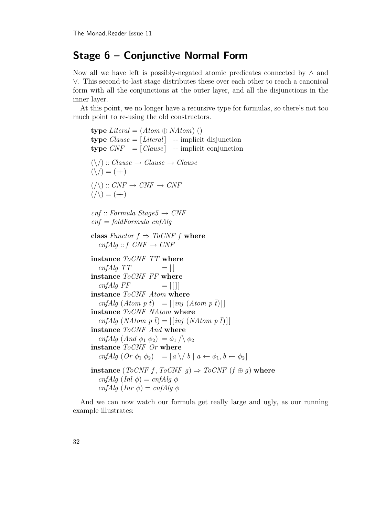## Stage 6 – Conjunctive Normal Form

Now all we have left is possibly-negated atomic predicates connected by  $\land$  and ∨. This second-to-last stage distributes these over each other to reach a canonical form with all the conjunctions at the outer layer, and all the disjunctions in the inner layer.

At this point, we no longer have a recursive type for formulas, so there's not too much point to re-using the old constructors.

type  $\textit{Literal} = (Atom \oplus \textit{NAtom})$  () type  $Clusteral$  -- implicit disjunction type  $CNF = [Clause]$  -- implicit conjunction  $(\setminus) :: Clause \rightarrow Clause \rightarrow Clause$  $(\setminus) = (+)$  $(\wedge) :: CNF \rightarrow CNF \rightarrow CNF$  $(1) = (+1)$  $cnf :: Formula~Stage5 \rightarrow CNF$  $cnf = foldFormula \ cnfAlq$ class Functor  $f \Rightarrow To CNF$  f where  $cnfAlg :: f \ CNF \rightarrow CNF$ instance ToCNF TT where  $cnfAlgTT$  = [ instance ToCNF FF where  $cnfAlq$   $FF$   $=$  [[]] instance ToCNF Atom where cnfAlg  $(Atom\ p\ \bar{t}) = [[inj\ (Atom\ p\ \bar{t})]]$ instance ToCNF NAtom where cnfAlg (NAtom p  $\bar{t}$ ) =  $\left[ \left[ \text{inj} \right]$  (NAtom p  $\bar{t}$ )] instance ToCNF And where cnfAlg  $(And \phi_1 \phi_2) = \phi_1 \wedge \phi_2$ instance ToCNF Or where cnfAlg  $(Or \phi_1 \phi_2) = [a \setminus b \mid a \leftarrow \phi_1, b \leftarrow \phi_2]$ instance (ToCNF f, ToCNF g)  $\Rightarrow$  ToCNF (f  $\oplus$  g) where cnfAlg (Inl  $\phi$ ) = cnfAlg  $\phi$ cnfAlg  $(Inv \phi) = cnfAlg \phi$ 

And we can now watch our formula get really large and ugly, as our running example illustrates: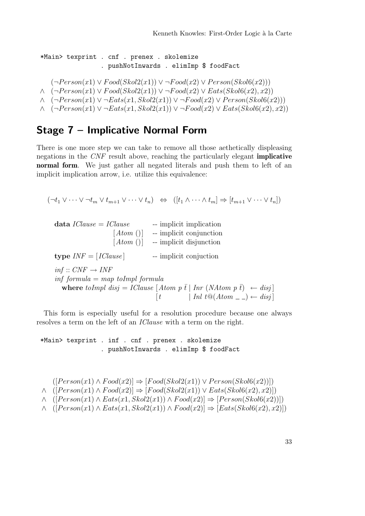```
*Main> texprint . cnf . prenex . skolemize
                     . pushNotInwards . elimImp $ foodFact
   (\neg Person(x1) \lor Food(Skol2(x1)) \lor \neg Food(x2) \lor Person(Skol6(x2)))\wedge (¬Person(x1) \vee Food(Skol2(x1)) \vee \neg Food(x2) \vee East(Skol6(x2), x2))\wedge (\neg Person(x1) \vee \neg Easts(x1, Skol2(x1)) \vee \neg Food(x2) \vee Person(Skol6(x2)))\wedge (\neg Person(x1) \vee \neg Easts(x1, Skol2(x1)) \vee \neg Food(x2) \vee East(Skol6(x2), x2))
```
## Stage 7 – Implicative Normal Form

There is one more step we can take to remove all those aethetically displeasing negations in the CNF result above, reaching the particularly elegant implicative normal form. We just gather all negated literals and push them to left of an implicit implication arrow, i.e. utilize this equivalence:

 $(\neg t_1 \vee \cdots \vee \neg t_m \vee t_{m+1} \vee \cdots \vee t_n) \Leftrightarrow ([t_1 \wedge \cdots \wedge t_m] \Rightarrow [t_{m+1} \vee \cdots \vee t_n])$ 

 $data$  *IClause* = *IClause* -- implicit implication  $[Atom ()]$  -- implicit conjunction  $[Atom ()]$  -- implicit disjunction type  $\textit{INF} = [\textit{IClause}]$  -- implicit conjuction  $\text{inf} :: CNF \rightarrow INF$ inf formula  $=$  map to Impl formula where toImpl disj = IClause [Atom p  $\bar{t}$  | Inr (NAtom p  $\bar{t}$ )  $\leftarrow$  disj]  $[t \t | Inl t@(Atom \_ - \rightleftharpoons disj]$ 

This form is especially useful for a resolution procedure because one always resolves a term on the left of an *IClause* with a term on the right.

\*Main> texprint . inf . cnf . prenex . skolemize . pushNotInwards . elimImp \$ foodFact

 $([Person(x1) \wedge Food(x2)] \Rightarrow [Food(Skol2(x1)) \vee Person(Skol6(x2))])$  $\wedge$  ([ $Person(x1) \wedge Food(x2)] \Rightarrow [Food(Skol2(x1)) \vee East(Skol6(x2), x2)]$ ]  $\wedge$  ([Person(x1)  $\wedge$  Eats(x1, Skol2(x1))  $\wedge$  Food(x2)]  $\Rightarrow$  [Person(Skol6(x2))])  $\wedge$  ([ $Person(x1) \wedge Easts(x1, Skol2(x1)) \wedge Food(x2)] \Rightarrow [Eats(Skol6(x2), x2)]$ ]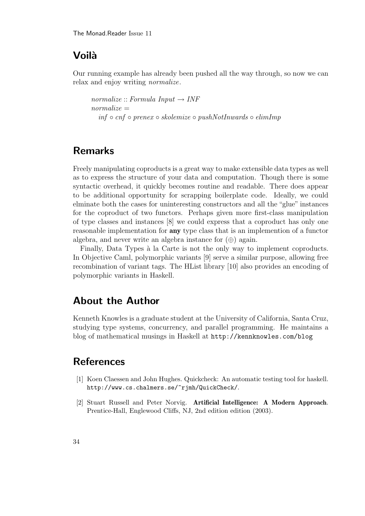# Voilà

Our running example has already been pushed all the way through, so now we can relax and enjoy writing *normalize*.

```
normalize :: Formula \; Input \rightarrow INFnormalize =inf \circ cnf \circ prenex \circ skolemize \circ pushNotInwards \circ elimImp
```
# Remarks

Freely manipulating coproducts is a great way to make extensible data types as well as to express the structure of your data and computation. Though there is some syntactic overhead, it quickly becomes routine and readable. There does appear to be additional opportunity for scrapping boilerplate code. Ideally, we could elminate both the cases for uninteresting constructors and all the "glue" instances for the coproduct of two functors. Perhaps given more first-class manipulation of type classes and instances [\[8\]](#page-34-5) we could express that a coproduct has only one reasonable implementation for **any** type class that is an implemention of a functor algebra, and never write an algebra instance for  $(\oplus)$  again.

Finally, Data Types à la Carte is not the only way to implement coproducts. In Objective Caml, polymorphic variants [\[9\]](#page-34-6) serve a similar purpose, allowing free recombination of variant tags. The HList library [\[10\]](#page-34-7) also provides an encoding of polymorphic variants in Haskell.

# About the Author

Kenneth Knowles is a graduate student at the University of California, Santa Cruz, studying type systems, concurrency, and parallel programming. He maintains a blog of mathematical musings in Haskell at <http://kennknowles.com/blog>

## **References**

- <span id="page-33-0"></span>[1] Koen Claessen and John Hughes. Quickcheck: An automatic testing tool for haskell. <http://www.cs.chalmers.se/~rjmh/QuickCheck/>.
- <span id="page-33-1"></span>[2] Stuart Russell and Peter Norvig. Artificial Intelligence: A Modern Approach. Prentice-Hall, Englewood Cliffs, NJ, 2nd edition edition (2003).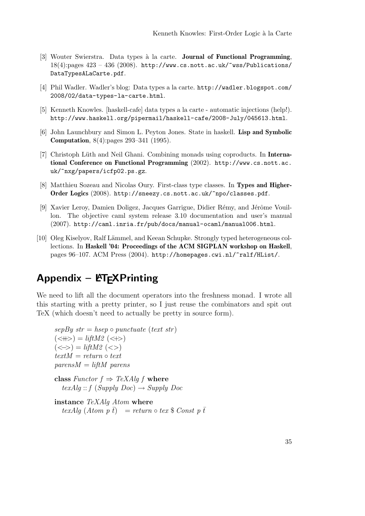- <span id="page-34-0"></span>[3] Wouter Swierstra. Data types à la carte. Journal of Functional Programming,  $18(4)$ :pages  $423 - 436$  (2008). [http://www.cs.nott.ac.uk/~wss/Publications/](http://www.cs.nott.ac.uk/~wss/Publications/DataTypesALaCarte.pdf) [DataTypesALaCarte.pdf](http://www.cs.nott.ac.uk/~wss/Publications/DataTypesALaCarte.pdf).
- <span id="page-34-1"></span>[4] Phil Wadler. Wadler's blog: Data types a la carte. [http://wadler.blogspot.com/](http://wadler.blogspot.com/2008/02/data-types-la-carte.html) [2008/02/data-types-la-carte.html](http://wadler.blogspot.com/2008/02/data-types-la-carte.html).
- <span id="page-34-2"></span>[5] Kenneth Knowles. [haskell-cafe] data types a la carte - automatic injections (help!). <http://www.haskell.org/pipermail/haskell-cafe/2008-July/045613.html>.
- <span id="page-34-3"></span>[6] John Launchbury and Simon L. Peyton Jones. State in haskell. Lisp and Symbolic Computation, 8(4):pages 293–341 (1995).
- <span id="page-34-4"></span>[7] Christoph Lüth and Neil Ghani. Combining monads using coproducts. In **Interna**tional Conference on Functional Programming (2002). [http://www.cs.nott.ac.](http://www.cs.nott.ac.uk/~nxg/papers/icfp02.ps.gz) [uk/~nxg/papers/icfp02.ps.gz](http://www.cs.nott.ac.uk/~nxg/papers/icfp02.ps.gz).
- <span id="page-34-5"></span>[8] Matthieu Sozeau and Nicolas Oury. First-class type classes. In **Types and Higher-**Order Logics (2008). <http://sneezy.cs.nott.ac.uk/~npo/classes.pdf>.
- <span id="page-34-6"></span>[9] Xavier Leroy, Damien Doligez, Jacques Garrigue, Didier Rémy, and Jérôme Vouillon. The objective caml system release 3.10 documentation and user's manual (2007). <http://caml.inria.fr/pub/docs/manual-ocaml/manual006.html>.
- <span id="page-34-7"></span>[10] Oleg Kiselyov, Ralf Lämmel, and Keean Schupke. Strongly typed heterogeneous collections. In Haskell '04: Proceedings of the ACM SIGPLAN workshop on Haskell, pages 96–107. ACM Press (2004). <http://homepages.cwi.nl/~ralf/HList/>.

# Appendix –  $\mathsf{PT}$ FXPrinting

We need to lift all the document operators into the freshness monad. I wrote all this starting with a pretty printer, so I just reuse the combinators and spit out TeX (which doesn't need to actually be pretty in source form).

 $sepBy \ str = hsep \circ punctuate \ (text \ tr \ str)$  $(\langle +\rangle) = \text{lift} M2 (\langle +\rangle)$  $(\ll\rightarrow) = \text{lift} M2 (\ll\rightarrow)$  $textM = return \circ text$  $parents$  = liftM parens

class Functor  $f \Rightarrow TeXAlg f$  where  $textAlg :: f (Supply Doc) \rightarrow Supply Doc$ 

instance TeXAlg Atom where  $textAlg (Atom p \bar{t}) = return \circ \text{tex } \$ \text{Const } p \bar{t}$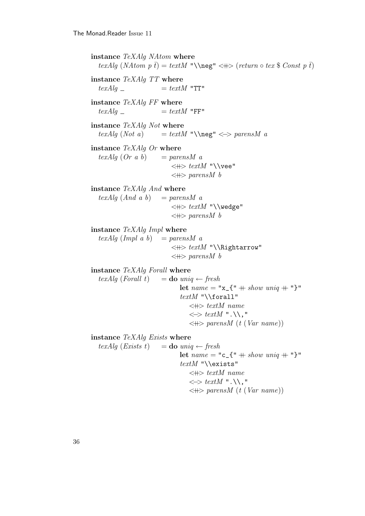instance TeXAlg NAtom where texAlg (NAtom p  $\bar{t}$ ) = textM "\\neg" <\\pmath> (return  $\circ$  tex \$ Const p  $\bar{t}$ ) instance TeXAlg TT where  $textAlg = textM$  "TT" instance TeXAlg FF where  $textAlg = \text{text} M$  "FF" instance TeXAlg Not where texAlg (Not a)  $= textM$  "\\neg" <-> parensM a instance TeXAlg Or where  $texAlg$   $(Or a b)$  = parensM a  $\iff textM$  "\\vee"  $\iff$  parensM b instance TeXAlg And where  $textAlg (And a b) = parentsMa$  $\iff textM$  "\\wedge"  $\iff$  parensM b instance TeXAlg Impl where  $textAlg (Impl a b) = parents M a$  $\iff textM$  "\\Rightarrow"  $\iff$  parensM b instance TeXAlg Forall where  $textAlg (For all t) =$ **do** uniq  $\leftarrow$  fresh let  $name = "x_{-}{'} + show$   $uniq + "}'$  $textM$  "\\forall"  $\iff \textit{textM name}$  $\iff \text{textM}$  ".\\, "  $\iff$  parensM (t (Var name)) instance TeXAlg Exists where  $textAlg (E x i s t) =$ **do** uniq  $\leftarrow$  fresh let  $name = "c_{'+ " + show uniq + "}'$  $text$  "\\exists"  $\iff \text{textM}$  name  $\iff \text{textM}$  ".\\,"  $\iff$  parensM (t (Var name))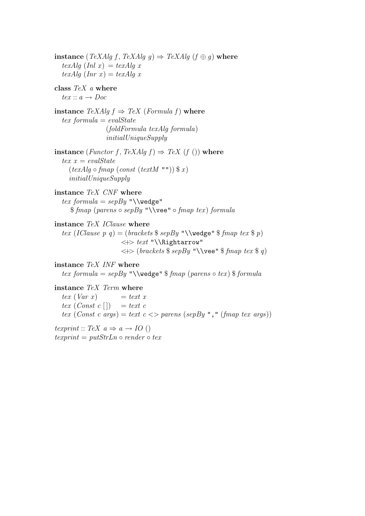instance (TeXAlg f, TeXAlg g)  $\Rightarrow$  TeXAlg (f  $\oplus$  g) where  $textAlg (Inl x) = \text{textAlg} x$  $textAlg (Inr x) = \text{tex}Alg x$ 

#### class TeX a where  $tex: a \rightarrow Doc$

#### instance  $TeXAlg f \Rightarrow TeX$  (Formula f) where  $textrm{ formula} = evalState$ (foldFormula texAlg formula) initialUniqueSupply

instance (Functor f, TeXAlg f)  $\Rightarrow$  TeX (f ()) where  $tex\ x = evalState$  $(textAlg \circ fmap (const (textM "")) \$  x) initialUniqueSupply

#### instance TeX CNF where tex formula =  $sepBy$  "\\wedge" \$ fmap (parens ◦ sepBy "\\vee" ◦ fmap tex ) formula

#### instance TeX IClause where

tex (IClause  $p \ q$ ) = (brackets  $\$ sepBy " $\wedge \$ redge"  $\$ fmap tex  $\$  p)  $\iff text$  "\\Rightarrow"  $\iff$  (brackets  $\$ sepBy "\\vee"  $\$ fmap tex  $\$  q)

instance TeX INF where tex formula =  $sepBy$  " $\iota$  wedge" \$ fmap (parens  $\circ$  tex) \$ formula

#### instance TeX Term where

 $textrm{ } (Var \; x) = text \; x$ tex  $(Const \ c \ ||) = text \ c$ tex (Const c args) = text  $c \leq$  parens (sep By "," (fmap tex args))

texprint :: TeX  $a \Rightarrow a \rightarrow IO()$  $texprint = putStrLn \circ render \circ tex$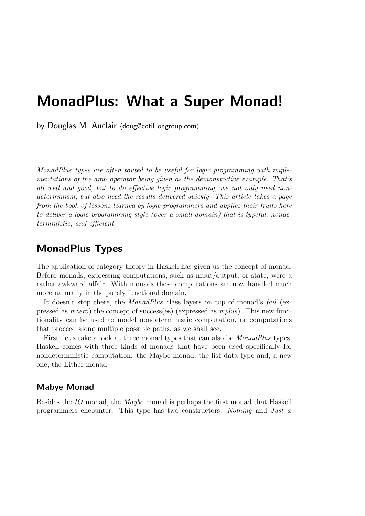# MonadPlus: What a Super Monad!

by Douglas M. Auclair (doug@cotilliongroup.com)

<span id="page-38-0"></span>MonadPlus types are often touted to be useful for logic programming with implementations of the amb operator being given as the demonstrative example. That's all well and good, but to do effective logic programming, we not only need nondeterminism, but also need the results delivered quickly. This article takes a page from the book of lessons learned by logic programmers and applies their fruits here to deliver a logic programming style (over a small domain) that is typeful, nondeterministic, and efficient.

## MonadPlus Types

The application of category theory in Haskell has given us the concept of monad. Before monads, expressing computations, such as input/output, or state, were a rather awkward affair. With monads these computations are now handled much more naturally in the purely functional domain.

It doesn't stop there, the *MonadPlus* class layers on top of monad's *fail* (expressed as mzero) the concept of success(es) (expressed as mplus). This new functionality can be used to model nondeterministic computation, or computations that proceed along multiple possible paths, as we shall see.

First, let's take a look at three monad types that can also be *MonadPlus* types. Haskell comes with three kinds of monads that have been used specifically for nondeterministic computation: the Maybe monad, the list data type and, a new one, the Either monad.

#### Mabye Monad

Besides the IO monad, the Maybe monad is perhaps the first monad that Haskell programmers encounter. This type has two constructors: Nothing and Just x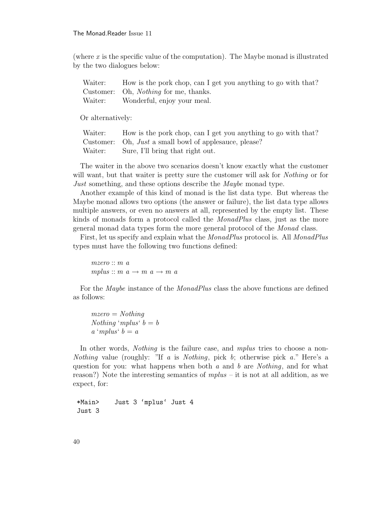#### The Monad.Reader Issue 11

(where  $x$  is the specific value of the computation). The Maybe monad is illustrated by the two dialogues below:

| Waiter: | How is the pork chop, can I get you anything to go with that? |
|---------|---------------------------------------------------------------|
|         | Customer: Oh, <i>Nothing</i> for me, thanks.                  |
| Waiter: | Wonderful, enjoy your meal.                                   |

Or alternatively:

| Waiter: | How is the pork chop, can I get you anything to go with that? |
|---------|---------------------------------------------------------------|
|         | Customer: Oh, <i>Just</i> a small bowl of applesauce, please? |
| Waiter: | Sure, I'll bring that right out.                              |

The waiter in the above two scenarios doesn't know exactly what the customer will want, but that waiter is pretty sure the customer will ask for *Nothing* or for Just something, and these options describe the *Maybe* monad type.

Another example of this kind of monad is the list data type. But whereas the Maybe monad allows two options (the answer or failure), the list data type allows multiple answers, or even no answers at all, represented by the empty list. These kinds of monads form a protocol called the *MonadPlus* class, just as the more general monad data types form the more general protocol of the Monad class.

First, let us specify and explain what the MonadPlus protocol is. All MonadPlus types must have the following two functions defined:

mzero :: m a  $mplus :: m \ a \rightarrow m \ a \rightarrow m \ a$ 

For the Maybe instance of the MonadPlus class the above functions are defined as follows:

 $mzero = Nothing$ Nothing 'mplus'  $b = b$  $a \text{ `mplus' } b = a$ 

In other words, *Nothing* is the failure case, and *mplus* tries to choose a non-Nothing value (roughly: "If a is Nothing, pick b; otherwise pick a." Here's a question for you: what happens when both a and b are Nothing, and for what reason?) Note the interesting semantics of  $mplus -$  it is not at all addition, as we expect, for:

\*Main> Just 3 'mplus' Just 4 Just 3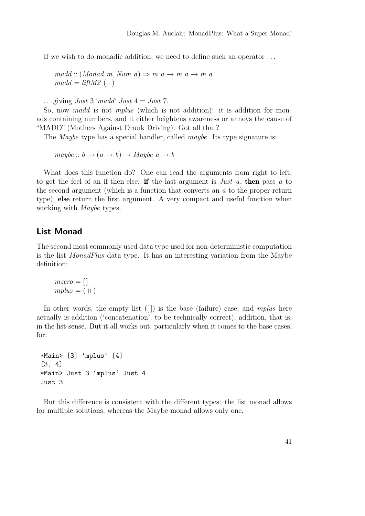If we wish to do monadic addition, we need to define such an operator . . .

 $madd::(Monad m, Num a) \Rightarrow m a \rightarrow m a \rightarrow m a$  $madd = liftM2 (+)$ 

... giving Just 3 'madd' Just  $4 =$  Just 7.

So, now *madd* is not *mplus* (which is not addition): it is addition for monads containing numbers, and it either heightens awareness or annoys the cause of "MADD" (Mothers Against Drunk Driving). Got all that?

The *Maybe* type has a special handler, called *maybe*. Its type signature is:

 $maybe :: b \rightarrow (a \rightarrow b) \rightarrow Maybe \ a \rightarrow b$ 

What does this function do? One can read the arguments from right to left, to get the feel of an if-then-else: if the last argument is Just a, then pass a to the second argument (which is a function that converts an a to the proper return type); else return the first argument. A very compact and useful function when working with Maybe types.

#### List Monad

The second most commonly used data type used for non-deterministic computation is the list MonadPlus data type. It has an interesting variation from the Maybe definition:

```
mzero = []mplus = (+)
```
In other words, the empty list  $($ [ $)$ ] is the base (failure) case, and mplus here actually is addition ('concatenation', to be technically correct); addition, that is, in the list-sense. But it all works out, particularly when it comes to the base cases, for:

```
*Main> [3] 'mplus' [4]
[3, 4]
*Main> Just 3 'mplus' Just 4
Just 3
```
But this difference is consistent with the different types: the list monad allows for multiple solutions, whereas the Maybe monad allows only one.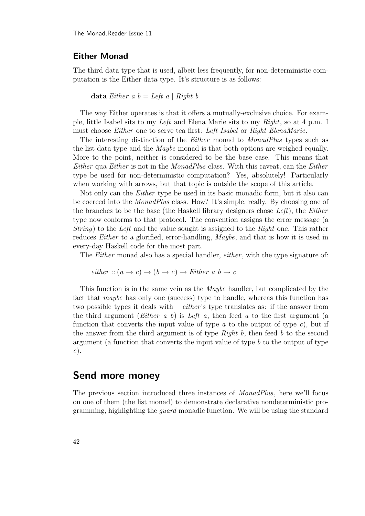#### Either Monad

The third data type that is used, albeit less frequently, for non-deterministic computation is the Either data type. It's structure is as follows:

data Either  $a b = Left a | Right b$ 

The way Either operates is that it offers a mutually-exclusive choice. For example, little Isabel sits to my Left and Elena Marie sits to my Right, so at 4 p.m. I must choose *Either* one to serve tea first: *Left Isabel* or *Right ElenaMarie*.

The interesting distinction of the *Either* monad to *MonadPlus* types such as the list data type and the *Maybe* monad is that both options are weighed equally. More to the point, neither is considered to be the base case. This means that Either qua Either is not in the MonadPlus class. With this caveat, can the Either type be used for non-deterministic computation? Yes, absolutely! Particularly when working with arrows, but that topic is outside the scope of this article.

Not only can the *Either* type be used in its basic monadic form, but it also can be coerced into the MonadPlus class. How? It's simple, really. By choosing one of the branches to be the base (the Haskell library designers chose  $Left$ ), the Either type now conforms to that protocol. The convention assigns the error message (a String) to the Left and the value sought is assigned to the Right one. This rather reduces *Either* to a glorified, error-handling, *Maybe*, and that is how it is used in every-day Haskell code for the most part.

The *Either* monad also has a special handler, *either*, with the type signature of:

*either* :: 
$$
(a \rightarrow c) \rightarrow (b \rightarrow c) \rightarrow Either \space a \space b \rightarrow c
$$

This function is in the same vein as the *Maybe* handler, but complicated by the fact that *maybe* has only one (success) type to handle, whereas this function has two possible types it deals with – *either*'s type translates as: if the answer from the third argument (*Either a b*) is *Left a*, then feed a to the first argument (a function that converts the input value of type  $a$  to the output of type  $c$ ), but if the answer from the third argument is of type  $Right\ b$ , then feed b to the second argument (a function that converts the input value of type  $b$  to the output of type  $c$ ).

#### Send more money

The previous section introduced three instances of MonadPlus, here we'll focus on one of them (the list monad) to demonstrate declarative nondeterministic programming, highlighting the guard monadic function. We will be using the standard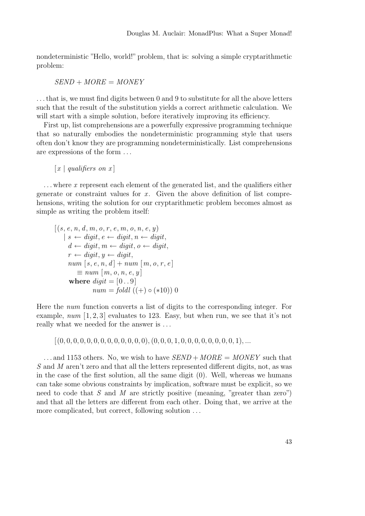nondeterministic "Hello, world!" problem, that is: solving a simple cryptarithmetic problem:

 $SEND + MORE = MONEY$ 

. . . that is, we must find digits between 0 and 9 to substitute for all the above letters such that the result of the substitution yields a correct arithmetic calculation. We will start with a simple solution, before iteratively improving its efficiency.

First up, list comprehensions are a powerfully expressive programming technique that so naturally embodies the nondeterministic programming style that users often don't know they are programming nondeterministically. List comprehensions are expressions of the form . . .

 $\lceil x \rceil$  qualifiers on  $x \rceil$ 

 $\dots$  where x represent each element of the generated list, and the qualifiers either generate or constraint values for  $x$ . Given the above definition of list comprehensions, writing the solution for our cryptarithmetic problem becomes almost as simple as writing the problem itself:

$$
[(s, e, n, d, m, o, r, e, m, o, n, e, y)]
$$
  
\n
$$
|s \leftarrow digit, e \leftarrow digit, n \leftarrow digit,
$$
  
\n
$$
d \leftarrow digit, m \leftarrow digit, o \leftarrow digit,
$$
  
\n
$$
r \leftarrow digit, y \leftarrow digit,
$$
  
\n
$$
num [s, e, n, d] + num [m, o, r, e]
$$
  
\n
$$
\equiv num [m, o, n, e, y]
$$
  
\nwhere  $digit = [0..9]$   
\n
$$
num = foldl ((+) \circ (*10)) 0
$$

Here the num function converts a list of digits to the corresponding integer. For example, num  $[1, 2, 3]$  evaluates to 123. Easy, but when run, we see that it's not really what we needed for the answer is . . .

[(0, 0, 0, 0, 0, 0, 0, 0, 0, 0, 0, 0, 0),(0, 0, 0, 1, 0, 0, 0, 0, 0, 0, 0, 0, 1), ...

... and 1153 others. No, we wish to have  $SEND + MORE = MONEY$  such that S and M aren't zero and that all the letters represented different digits, not, as was in the case of the first solution, all the same digit (0). Well, whereas we humans can take some obvious constraints by implication, software must be explicit, so we need to code that S and M are strictly positive (meaning, "greater than zero") and that all the letters are different from each other. Doing that, we arrive at the more complicated, but correct, following solution . . .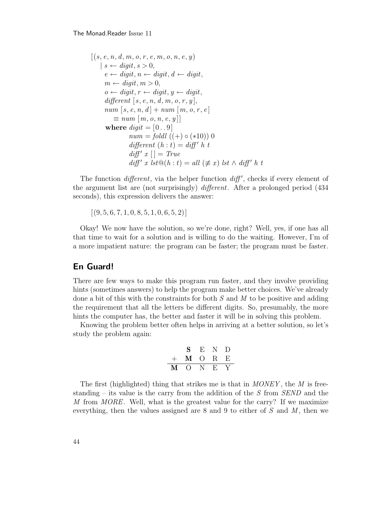The Monad.Reader Issue 11

$$
[(s, e, n, d, m, o, r, e, m, o, n, e, y)]
$$
\n
$$
|s \leftarrow digit, s > 0,
$$
\n
$$
e \leftarrow digit, n \leftarrow digit, d \leftarrow digit,
$$
\n
$$
m \leftarrow digit, m > 0,
$$
\n
$$
o \leftarrow digit, r \leftarrow digit, y \leftarrow digit,
$$
\n
$$
different [s, e, n, d, m, o, r, y],
$$
\n
$$
num [s, e, n, d] + num [m, o, r, e]
$$
\n
$$
= num [m, o, n, e, y]]
$$
\nwhere  $digit = [0..9]$ \n
$$
num = foldl ((+) \circ (*10)) 0
$$
\n
$$
different (h : t) = diff' h t
$$
\n
$$
diff' x [] = True
$$
\n
$$
diff' x list@ (h : t) = all (\neq x) \,lst \wedge diff' h t
$$

The function  $differential$ , via the helper function  $diff'$ , checks if every element of the argument list are (not surprisingly) different. After a prolonged period (434 seconds), this expression delivers the answer:

 $[(9, 5, 6, 7, 1, 0, 8, 5, 1, 0, 6, 5, 2)]$ 

Okay! We now have the solution, so we're done, right? Well, yes, if one has all that time to wait for a solution and is willing to do the waiting. However, I'm of a more impatient nature: the program can be faster; the program must be faster.

#### En Guard!

There are few ways to make this program run faster, and they involve providing hints (sometimes answers) to help the program make better choices. We've already done a bit of this with the constraints for both  $S$  and  $M$  to be positive and adding the requirement that all the letters be different digits. So, presumably, the more hints the computer has, the better and faster it will be in solving this problem.

Knowing the problem better often helps in arriving at a better solution, so let's study the problem again:

$$
\begin{array}{c c c c c c c} \textbf{S} & \textbf{E} & \textbf{N} & \textbf{D} \\ \textbf{+} & \textbf{M} & \textbf{O} & \textbf{R} & \textbf{E} \\ \hline \textbf{M} & \textbf{O} & \textbf{N} & \textbf{E} & \textbf{Y} \end{array}
$$

The first (highlighted) thing that strikes me is that in  $MONEY$ , the M is freestanding – its value is the carry from the addition of the  $S$  from  $SEND$  and the M from MORE. Well, what is the greatest value for the carry? If we maximize everything, then the values assigned are  $8$  and  $9$  to either of  $S$  and  $M$ , then we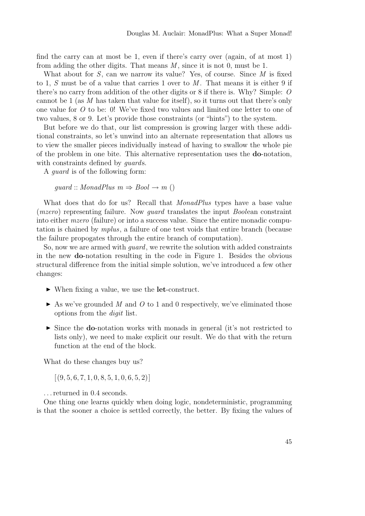find the carry can at most be 1, even if there's carry over (again, of at most 1) from adding the other digits. That means  $M$ , since it is not 0, must be 1.

What about for  $S$ , can we narrow its value? Yes, of course. Since  $M$  is fixed to 1, S must be of a value that carries 1 over to  $M$ . That means it is either 9 if there's no carry from addition of the other digits or 8 if there is. Why? Simple: O cannot be 1 (as  $M$  has taken that value for itself), so it turns out that there's only one value for O to be: 0! We've fixed two values and limited one letter to one of two values, 8 or 9. Let's provide those constraints (or "hints") to the system.

But before we do that, our list compression is growing larger with these additional constraints, so let's unwind into an alternate representation that allows us to view the smaller pieces individually instead of having to swallow the whole pie of the problem in one bite. This alternative representation uses the do-notation, with constraints defined by *quards*.

A guard is of the following form:

#### guard :: MonadPlus  $m \Rightarrow Bool \rightarrow m$  ()

What does that do for us? Recall that *MonadPlus* types have a base value (mzero) representing failure. Now guard translates the input Boolean constraint into either mzero (failure) or into a success value. Since the entire monadic computation is chained by mplus, a failure of one test voids that entire branch (because the failure propogates through the entire branch of computation).

So, now we are armed with *guard*, we rewrite the solution with added constraints in the new do-notation resulting in the code in Figure 1. Besides the obvious structural difference from the initial simple solution, we've introduced a few other changes:

- $\triangleright$  When fixing a value, we use the **let**-construct.
- $\blacktriangleright$  As we've grounded M and O to 1 and 0 respectively, we've eliminated those options from the digit list.
- $\triangleright$  Since the do-notation works with monads in general (it's not restricted to lists only), we need to make explicit our result. We do that with the return function at the end of the block.

What do these changes buy us?

 $[(9, 5, 6, 7, 1, 0, 8, 5, 1, 0, 6, 5, 2)]$ 

. . . returned in 0.4 seconds.

One thing one learns quickly when doing logic, nondeterministic, programming is that the sooner a choice is settled correctly, the better. By fixing the values of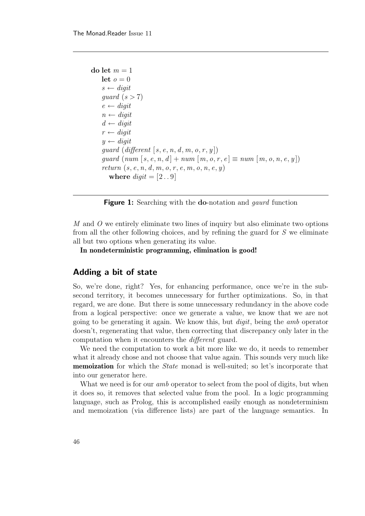```
do let m = 1let \rho = 0s \leftarrow \textit{digit}guard (s > 7)e \leftarrow diaitn \leftarrow digitd \leftarrow digitr \leftarrow \text{digit}y \leftarrow digitguard (differential [s, e, n, d, m, o, r, y])quard (num [s, e, n, d] + num [m, o, r, e] \equiv num [m, o, n, e, y])return (s, e, n, d, m, o, r, e, m, o, n, e, y)where \text{digit} = [2..9]
```
**Figure 1:** Searching with the **do**-notation and *gaurd* function

M and O we entirely eliminate two lines of inquiry but also eliminate two options from all the other following choices, and by refining the guard for  $S$  we eliminate all but two options when generating its value.

In nondeterministic programming, elimination is good!

#### Adding a bit of state

So, we're done, right? Yes, for enhancing performance, once we're in the subsecond territory, it becomes unnecessary for further optimizations. So, in that regard, we are done. But there is some unnecessary redundancy in the above code from a logical perspective: once we generate a value, we know that we are not going to be generating it again. We know this, but  $\text{digit}$ , being the amb operator doesn't, regenerating that value, then correcting that discrepancy only later in the computation when it encounters the different guard.

We need the computation to work a bit more like we do, it needs to remember what it already chose and not choose that value again. This sounds very much like **memoization** for which the *State* monad is well-suited; so let's incorporate that into our generator here.

What we need is for our *amb* operator to select from the pool of digits, but when it does so, it removes that selected value from the pool. In a logic programming language, such as Prolog, this is accomplished easily enough as nondeterminism and memoization (via difference lists) are part of the language semantics. In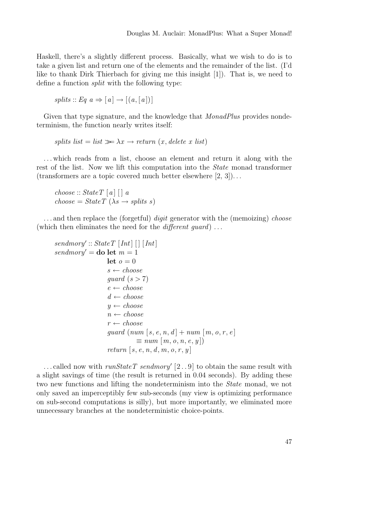Haskell, there's a slightly different process. Basically, what we wish to do is to take a given list and return one of the elements and the remainder of the list. (I'd like to thank Dirk Thierbach for giving me this insight [\[1\]](#page-47-0)). That is, we need to define a function split with the following type:

 $splits:: Eq \ a \Rightarrow [a] \rightarrow [(a, [a])]$ 

Given that type signature, and the knowledge that *MonadPlus* provides nondeterminism, the function nearly writes itself:

```
splits list = list \gg \lambda x \rightarrow return(x, delete x list)
```
. . . which reads from a list, choose an element and return it along with the rest of the list. Now we lift this computation into the State monad transformer (transformers are a topic covered much better elsewhere  $[2, 3]$  $[2, 3]$  $[2, 3]$ )...

 $choose :: StateT [a] [a]$  $choose = StateT (\lambda s \rightarrow splits s)$ 

... and then replace the (forgetful) *digit* generator with the (memoizing) *choose* (which then eliminates the need for the *different quard*)...

```
\mathit{sendmory}' :: \mathit{StateT} \ [\mathit{Int}]\ [\ ]\ [\mathit{Int}]\ ]sendmory' =do let m = 1let o = 0s \leftarrow choosequard (s > 7)e \leftarrow choosed \leftarrow choosey \leftarrow choosen \leftarrow chooser \leftarrow chooseguard (num [s, e, n, d] + num [m, o, r, e]\equiv num[m, o, n, e, y])return [s, e, n, d, m, o, r, y]
```
...called now with  $runStateT$  sendmory'  $[2..9]$  to obtain the same result with a slight savings of time (the result is returned in 0.04 seconds). By adding these two new functions and lifting the nondeterminism into the State monad, we not only saved an imperceptibly few sub-seconds (my view is optimizing performance on sub-second computations is silly), but more importantly, we eliminated more unnecessary branches at the nondeterministic choice-points.